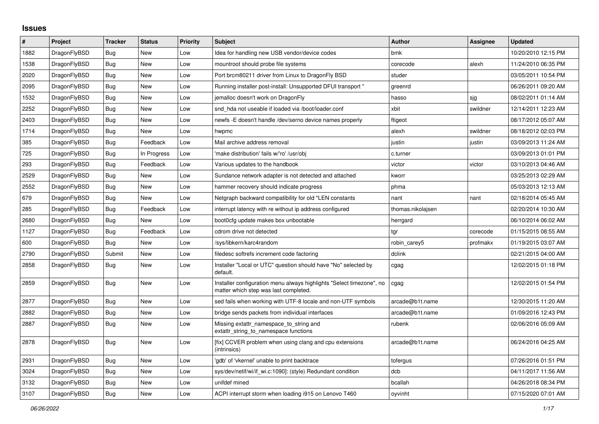## **Issues**

| #    | Project      | <b>Tracker</b> | <b>Status</b> | <b>Priority</b> | <b>Subject</b>                                                                                                | <b>Author</b>     | Assignee | <b>Updated</b>      |
|------|--------------|----------------|---------------|-----------------|---------------------------------------------------------------------------------------------------------------|-------------------|----------|---------------------|
| 1882 | DragonFlyBSD | Bug            | <b>New</b>    | Low             | Idea for handling new USB vendor/device codes                                                                 | bmk               |          | 10/20/2010 12:15 PM |
| 1538 | DragonFlyBSD | Bug            | <b>New</b>    | Low             | mountroot should probe file systems                                                                           | corecode          | alexh    | 11/24/2010 06:35 PM |
| 2020 | DragonFlyBSD | Bug            | <b>New</b>    | Low             | Port brcm80211 driver from Linux to DragonFly BSD                                                             | studer            |          | 03/05/2011 10:54 PM |
| 2095 | DragonFlyBSD | Bug            | <b>New</b>    | Low             | Running installer post-install: Unsupported DFUI transport "                                                  | greenrd           |          | 06/26/2011 09:20 AM |
| 1532 | DragonFlyBSD | Bug            | <b>New</b>    | Low             | jemalloc doesn't work on DragonFly                                                                            | hasso             | sjg      | 08/02/2011 01:14 AM |
| 2252 | DragonFlyBSD | Bug            | <b>New</b>    | Low             | snd hda not useable if loaded via /boot/loader.conf                                                           | xbit              | swildner | 12/14/2011 12:23 AM |
| 2403 | DragonFlyBSD | Bug            | <b>New</b>    | Low             | newfs - E doesn't handle / dev/serno device names properly                                                    | ftigeot           |          | 08/17/2012 05:07 AM |
| 1714 | DragonFlyBSD | <b>Bug</b>     | <b>New</b>    | Low             | hwpmc                                                                                                         | alexh             | swildner | 08/18/2012 02:03 PM |
| 385  | DragonFlyBSD | Bug            | Feedback      | Low             | Mail archive address removal                                                                                  | justin            | justin   | 03/09/2013 11:24 AM |
| 725  | DragonFlyBSD | Bug            | In Progress   | Low             | 'make distribution' fails w/'ro' /usr/obj                                                                     | c.turner          |          | 03/09/2013 01:01 PM |
| 293  | DragonFlyBSD | <b>Bug</b>     | Feedback      | Low             | Various updates to the handbook                                                                               | victor            | victor   | 03/10/2013 04:46 AM |
| 2529 | DragonFlyBSD | Bug            | <b>New</b>    | Low             | Sundance network adapter is not detected and attached                                                         | kworr             |          | 03/25/2013 02:29 AM |
| 2552 | DragonFlyBSD | Bug            | <b>New</b>    | Low             | hammer recovery should indicate progress                                                                      | phma              |          | 05/03/2013 12:13 AM |
| 679  | DragonFlyBSD | Bug            | <b>New</b>    | Low             | Netgraph backward compatibility for old *LEN constants                                                        | nant              | nant     | 02/18/2014 05:45 AM |
| 285  | DragonFlyBSD | <b>Bug</b>     | Feedback      | Low             | interrupt latency with re without ip address configured                                                       | thomas.nikolajsen |          | 02/20/2014 10:30 AM |
| 2680 | DragonFlyBSD | Bug            | New           | Low             | boot0cfg update makes box unbootable                                                                          | herrgard          |          | 06/10/2014 06:02 AM |
| 1127 | DragonFlyBSD | <b>Bug</b>     | Feedback      | Low             | cdrom drive not detected                                                                                      | tar               | corecode | 01/15/2015 08:55 AM |
| 600  | DragonFlyBSD | <b>Bug</b>     | <b>New</b>    | Low             | /sys/libkern/karc4random                                                                                      | robin carey5      | profmakx | 01/19/2015 03:07 AM |
| 2790 | DragonFlyBSD | Submit         | New           | Low             | filedesc softrefs increment code factoring                                                                    | dclink            |          | 02/21/2015 04:00 AM |
| 2858 | DragonFlyBSD | <b>Bug</b>     | <b>New</b>    | Low             | Installer "Local or UTC" question should have "No" selected by<br>default.                                    | cgag              |          | 12/02/2015 01:18 PM |
| 2859 | DragonFlyBSD | Bug            | <b>New</b>    | Low             | Installer configuration menu always highlights "Select timezone", no<br>matter which step was last completed. | cgag              |          | 12/02/2015 01:54 PM |
| 2877 | DragonFlyBSD | <b>Bug</b>     | <b>New</b>    | Low             | sed fails when working with UTF-8 locale and non-UTF symbols                                                  | arcade@b1t.name   |          | 12/30/2015 11:20 AM |
| 2882 | DragonFlyBSD | Bug            | <b>New</b>    | Low             | bridge sends packets from individual interfaces                                                               | arcade@b1t.name   |          | 01/09/2016 12:43 PM |
| 2887 | DragonFlyBSD | Bug            | <b>New</b>    | Low             | Missing extattr_namespace_to_string and<br>extattr_string_to_namespace functions                              | rubenk            |          | 02/06/2016 05:09 AM |
| 2878 | DragonFlyBSD | <b>Bug</b>     | <b>New</b>    | Low             | [fix] CCVER problem when using clang and cpu extensions<br>(intrinsics)                                       | arcade@b1t.name   |          | 06/24/2016 04:25 AM |
| 2931 | DragonFlyBSD | Bug            | <b>New</b>    | Low             | 'gdb' of 'vkernel' unable to print backtrace                                                                  | tofergus          |          | 07/26/2016 01:51 PM |
| 3024 | DragonFlyBSD | <b>Bug</b>     | <b>New</b>    | Low             | sys/dev/netif/wi/if_wi.c:1090]: (style) Redundant condition                                                   | dcb               |          | 04/11/2017 11:56 AM |
| 3132 | DragonFlyBSD | <b>Bug</b>     | <b>New</b>    | Low             | unifdef mined                                                                                                 | bcallah           |          | 04/26/2018 08:34 PM |
| 3107 | DragonFlyBSD | <b>Bug</b>     | New           | Low             | ACPI interrupt storm when loading i915 on Lenovo T460                                                         | oyvinht           |          | 07/15/2020 07:01 AM |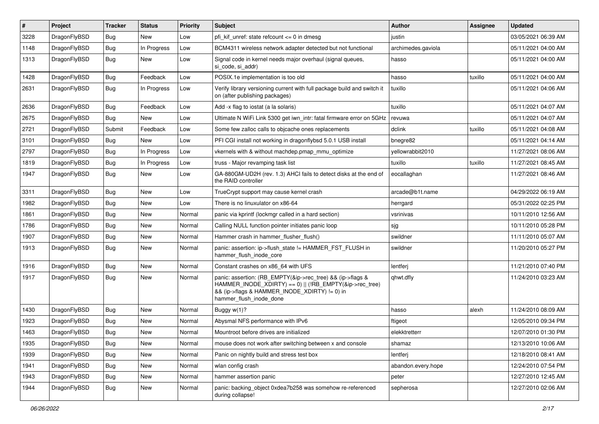| $\sharp$ | Project      | <b>Tracker</b> | <b>Status</b> | <b>Priority</b> | Subject                                                                                                                                                                                           | Author             | Assignee | <b>Updated</b>      |
|----------|--------------|----------------|---------------|-----------------|---------------------------------------------------------------------------------------------------------------------------------------------------------------------------------------------------|--------------------|----------|---------------------|
| 3228     | DragonFlyBSD | <b>Bug</b>     | New           | Low             | pfi kif unref: state refcount $\leq$ 0 in dmesg                                                                                                                                                   | justin             |          | 03/05/2021 06:39 AM |
| 1148     | DragonFlyBSD | Bug            | In Progress   | Low             | BCM4311 wireless network adapter detected but not functional                                                                                                                                      | archimedes.gaviola |          | 05/11/2021 04:00 AM |
| 1313     | DragonFlyBSD | <b>Bug</b>     | New           | Low             | Signal code in kernel needs major overhaul (signal queues,<br>si code, si addr)                                                                                                                   | hasso              |          | 05/11/2021 04:00 AM |
| 1428     | DragonFlyBSD | Bug            | Feedback      | Low             | POSIX.1e implementation is too old                                                                                                                                                                | hasso              | tuxillo  | 05/11/2021 04:00 AM |
| 2631     | DragonFlyBSD | <b>Bug</b>     | In Progress   | Low             | Verify library versioning current with full package build and switch it<br>on (after publishing packages)                                                                                         | tuxillo            |          | 05/11/2021 04:06 AM |
| 2636     | DragonFlyBSD | Bug            | Feedback      | Low             | Add -x flag to iostat (a la solaris)                                                                                                                                                              | tuxillo            |          | 05/11/2021 04:07 AM |
| 2675     | DragonFlyBSD | <b>Bug</b>     | <b>New</b>    | Low             | Ultimate N WiFi Link 5300 get iwn intr: fatal firmware error on 5GHz                                                                                                                              | revuwa             |          | 05/11/2021 04:07 AM |
| 2721     | DragonFlyBSD | Submit         | Feedback      | Low             | Some few zalloc calls to objcache ones replacements                                                                                                                                               | dclink             | tuxillo  | 05/11/2021 04:08 AM |
| 3101     | DragonFlyBSD | <b>Bug</b>     | New           | Low             | PFI CGI install not working in dragonflybsd 5.0.1 USB install                                                                                                                                     | bnegre82           |          | 05/11/2021 04:14 AM |
| 2797     | DragonFlyBSD | <b>Bug</b>     | In Progress   | Low             | vkernels with & without machdep.pmap mmu optimize                                                                                                                                                 | yellowrabbit2010   |          | 11/27/2021 08:06 AM |
| 1819     | DragonFlyBSD | <b>Bug</b>     | In Progress   | Low             | truss - Major revamping task list                                                                                                                                                                 | tuxillo            | tuxillo  | 11/27/2021 08:45 AM |
| 1947     | DragonFlyBSD | <b>Bug</b>     | <b>New</b>    | Low             | GA-880GM-UD2H (rev. 1.3) AHCI fails to detect disks at the end of<br>the RAID controller                                                                                                          | eocallaghan        |          | 11/27/2021 08:46 AM |
| 3311     | DragonFlyBSD | Bug            | New           | Low             | TrueCrypt support may cause kernel crash                                                                                                                                                          | arcade@b1t.name    |          | 04/29/2022 06:19 AM |
| 1982     | DragonFlyBSD | <b>Bug</b>     | New           | Low             | There is no linuxulator on x86-64                                                                                                                                                                 | herrgard           |          | 05/31/2022 02:25 PM |
| 1861     | DragonFlyBSD | Bug            | <b>New</b>    | Normal          | panic via kprintf (lockmgr called in a hard section)                                                                                                                                              | vsrinivas          |          | 10/11/2010 12:56 AM |
| 1786     | DragonFlyBSD | <b>Bug</b>     | New           | Normal          | Calling NULL function pointer initiates panic loop                                                                                                                                                | sjg                |          | 10/11/2010 05:28 PM |
| 1907     | DragonFlyBSD | <b>Bug</b>     | New           | Normal          | Hammer crash in hammer_flusher_flush()                                                                                                                                                            | swildner           |          | 11/11/2010 05:07 AM |
| 1913     | DragonFlyBSD | Bug            | New           | Normal          | panic: assertion: ip->flush_state != HAMMER_FST_FLUSH in<br>hammer flush inode core                                                                                                               | swildner           |          | 11/20/2010 05:27 PM |
| 1916     | DragonFlyBSD | Bug            | <b>New</b>    | Normal          | Constant crashes on x86_64 with UFS                                                                                                                                                               | lentferj           |          | 11/21/2010 07:40 PM |
| 1917     | DragonFlyBSD | Bug            | <b>New</b>    | Normal          | panic: assertion: (RB_EMPTY(&ip->rec_tree) && (ip->flags &<br>HAMMER_INODE_XDIRTY) == 0)    (!RB_EMPTY(&ip->rec_tree)<br>&& (ip->flags & HAMMER_INODE_XDIRTY) != 0) in<br>hammer_flush_inode_done | qhwt.dfly          |          | 11/24/2010 03:23 AM |
| 1430     | DragonFlyBSD | Bug            | <b>New</b>    | Normal          | Buggy w(1)?                                                                                                                                                                                       | hasso              | alexh    | 11/24/2010 08:09 AM |
| 1923     | DragonFlyBSD | Bug            | <b>New</b>    | Normal          | Abysmal NFS performance with IPv6                                                                                                                                                                 | ftigeot            |          | 12/05/2010 09:34 PM |
| 1463     | DragonFlyBSD | <b>Bug</b>     | New           | Normal          | Mountroot before drives are initialized                                                                                                                                                           | elekktretterr      |          | 12/07/2010 01:30 PM |
| 1935     | DragonFlyBSD | <b>Bug</b>     | New           | Normal          | mouse does not work after switching between x and console                                                                                                                                         | shamaz             |          | 12/13/2010 10:06 AM |
| 1939     | DragonFlyBSD | <b>Bug</b>     | New           | Normal          | Panic on nightly build and stress test box                                                                                                                                                        | lentferj           |          | 12/18/2010 08:41 AM |
| 1941     | DragonFlyBSD | <b>Bug</b>     | <b>New</b>    | Normal          | wlan config crash                                                                                                                                                                                 | abandon.every.hope |          | 12/24/2010 07:54 PM |
| 1943     | DragonFlyBSD | <b>Bug</b>     | <b>New</b>    | Normal          | hammer assertion panic                                                                                                                                                                            | peter              |          | 12/27/2010 12:45 AM |
| 1944     | DragonFlyBSD | <b>Bug</b>     | New           | Normal          | panic: backing_object 0xdea7b258 was somehow re-referenced<br>during collapse!                                                                                                                    | sepherosa          |          | 12/27/2010 02:06 AM |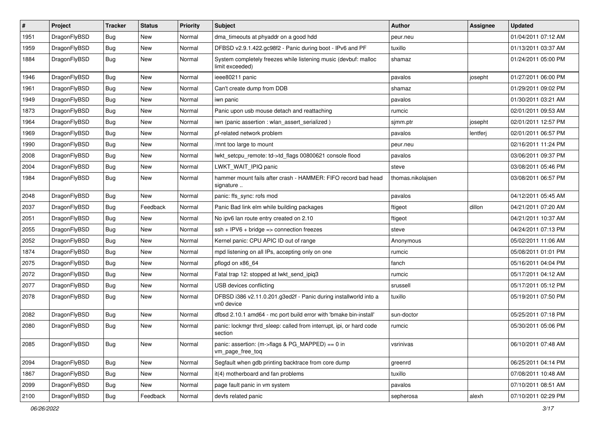| $\sharp$ | Project      | <b>Tracker</b> | <b>Status</b> | <b>Priority</b> | Subject                                                                            | Author            | Assignee | <b>Updated</b>      |
|----------|--------------|----------------|---------------|-----------------|------------------------------------------------------------------------------------|-------------------|----------|---------------------|
| 1951     | DragonFlyBSD | Bug            | New           | Normal          | dma_timeouts at phyaddr on a good hdd                                              | peur.neu          |          | 01/04/2011 07:12 AM |
| 1959     | DragonFlyBSD | Bug            | New           | Normal          | DFBSD v2.9.1.422.gc98f2 - Panic during boot - IPv6 and PF                          | tuxillo           |          | 01/13/2011 03:37 AM |
| 1884     | DragonFlyBSD | Bug            | <b>New</b>    | Normal          | System completely freezes while listening music (devbuf: malloc<br>limit exceeded) | shamaz            |          | 01/24/2011 05:00 PM |
| 1946     | DragonFlyBSD | Bug            | <b>New</b>    | Normal          | ieee80211 panic                                                                    | pavalos           | josepht  | 01/27/2011 06:00 PM |
| 1961     | DragonFlyBSD | Bug            | New           | Normal          | Can't create dump from DDB                                                         | shamaz            |          | 01/29/2011 09:02 PM |
| 1949     | DragonFlyBSD | Bug            | New           | Normal          | iwn panic                                                                          | pavalos           |          | 01/30/2011 03:21 AM |
| 1873     | DragonFlyBSD | Bug            | <b>New</b>    | Normal          | Panic upon usb mouse detach and reattaching                                        | rumcic            |          | 02/01/2011 09:53 AM |
| 1964     | DragonFlyBSD | Bug            | New           | Normal          | iwn (panic assertion : wlan_assert_serialized)                                     | sjmm.ptr          | josepht  | 02/01/2011 12:57 PM |
| 1969     | DragonFlyBSD | Bug            | <b>New</b>    | Normal          | pf-related network problem                                                         | pavalos           | lentferj | 02/01/2011 06:57 PM |
| 1990     | DragonFlyBSD | Bug            | New           | Normal          | /mnt too large to mount                                                            | peur.neu          |          | 02/16/2011 11:24 PM |
| 2008     | DragonFlyBSD | Bug            | New           | Normal          | lwkt_setcpu_remote: td->td_flags 00800621 console flood                            | pavalos           |          | 03/06/2011 09:37 PM |
| 2004     | DragonFlyBSD | Bug            | New           | Normal          | LWKT_WAIT_IPIQ panic                                                               | steve             |          | 03/08/2011 05:46 PM |
| 1984     | DragonFlyBSD | Bug            | <b>New</b>    | Normal          | hammer mount fails after crash - HAMMER: FIFO record bad head<br>signature         | thomas.nikolajsen |          | 03/08/2011 06:57 PM |
| 2048     | DragonFlyBSD | Bug            | <b>New</b>    | Normal          | panic: ffs_sync: rofs mod                                                          | pavalos           |          | 04/12/2011 05:45 AM |
| 2037     | DragonFlyBSD | Bug            | Feedback      | Normal          | Panic Bad link elm while building packages                                         | ftigeot           | dillon   | 04/21/2011 07:20 AM |
| 2051     | DragonFlyBSD | Bug            | <b>New</b>    | Normal          | No ipv6 lan route entry created on 2.10                                            | ftigeot           |          | 04/21/2011 10:37 AM |
| 2055     | DragonFlyBSD | <b>Bug</b>     | New           | Normal          | $ssh + IPV6 + bridge \Rightarrow connection freezes$                               | steve             |          | 04/24/2011 07:13 PM |
| 2052     | DragonFlyBSD | <b>Bug</b>     | New           | Normal          | Kernel panic: CPU APIC ID out of range                                             | Anonymous         |          | 05/02/2011 11:06 AM |
| 1874     | DragonFlyBSD | <b>Bug</b>     | New           | Normal          | mpd listening on all IPs, accepting only on one                                    | rumcic            |          | 05/08/2011 01:01 PM |
| 2075     | DragonFlyBSD | <b>Bug</b>     | New           | Normal          | pflogd on x86 64                                                                   | fanch             |          | 05/16/2011 04:04 PM |
| 2072     | DragonFlyBSD | <b>Bug</b>     | New           | Normal          | Fatal trap 12: stopped at lwkt_send_ipiq3                                          | rumcic            |          | 05/17/2011 04:12 AM |
| 2077     | DragonFlyBSD | <b>Bug</b>     | New           | Normal          | USB devices conflicting                                                            | srussell          |          | 05/17/2011 05:12 PM |
| 2078     | DragonFlyBSD | <b>Bug</b>     | <b>New</b>    | Normal          | DFBSD i386 v2.11.0.201.g3ed2f - Panic during installworld into a<br>vn0 device     | tuxillo           |          | 05/19/2011 07:50 PM |
| 2082     | DragonFlyBSD | <b>Bug</b>     | <b>New</b>    | Normal          | dfbsd 2.10.1 amd64 - mc port build error with 'bmake bin-install'                  | sun-doctor        |          | 05/25/2011 07:18 PM |
| 2080     | DragonFlyBSD | <b>Bug</b>     | New           | Normal          | panic: lockmgr thrd sleep: called from interrupt, ipi, or hard code<br>section     | rumcic            |          | 05/30/2011 05:06 PM |
| 2085     | DragonFlyBSD | <b>Bug</b>     | New           | Normal          | panic: assertion: (m->flags & PG_MAPPED) == 0 in<br>vm_page_free_toq               | vsrinivas         |          | 06/10/2011 07:48 AM |
| 2094     | DragonFlyBSD | <b>Bug</b>     | New           | Normal          | Segfault when gdb printing backtrace from core dump                                | greenrd           |          | 06/25/2011 04:14 PM |
| 1867     | DragonFlyBSD | <b>Bug</b>     | New           | Normal          | it(4) motherboard and fan problems                                                 | tuxillo           |          | 07/08/2011 10:48 AM |
| 2099     | DragonFlyBSD | <b>Bug</b>     | New           | Normal          | page fault panic in vm system                                                      | pavalos           |          | 07/10/2011 08:51 AM |
| 2100     | DragonFlyBSD | <b>Bug</b>     | Feedback      | Normal          | devfs related panic                                                                | sepherosa         | alexh    | 07/10/2011 02:29 PM |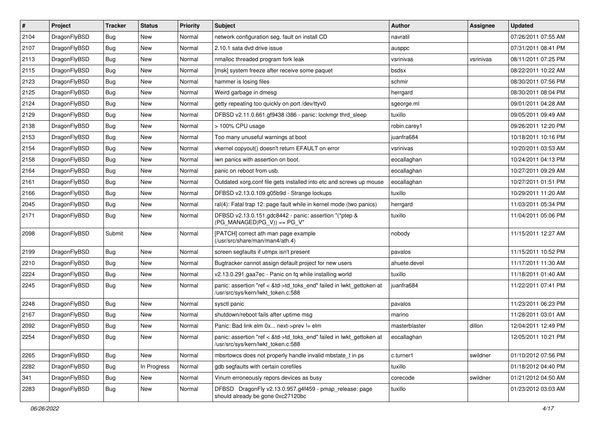| $\sharp$ | Project      | <b>Tracker</b> | <b>Status</b> | <b>Priority</b> | <b>Subject</b>                                                                                             | <b>Author</b> | Assignee  | <b>Updated</b>      |
|----------|--------------|----------------|---------------|-----------------|------------------------------------------------------------------------------------------------------------|---------------|-----------|---------------------|
| 2104     | DragonFlyBSD | <b>Bug</b>     | New           | Normal          | network configuration seg. fault on install CD                                                             | navratil      |           | 07/26/2011 07:55 AM |
| 2107     | DragonFlyBSD | <b>Bug</b>     | <b>New</b>    | Normal          | 2.10.1 sata dvd drive issue                                                                                | ausppc        |           | 07/31/2011 08:41 PM |
| 2113     | DragonFlyBSD | <b>Bug</b>     | <b>New</b>    | Normal          | nmalloc threaded program fork leak                                                                         | vsrinivas     | vsrinivas | 08/11/2011 07:25 PM |
| 2115     | DragonFlyBSD | <b>Bug</b>     | New           | Normal          | [msk] system freeze after receive some paquet                                                              | bsdsx         |           | 08/22/2011 10:22 AM |
| 2123     | DragonFlyBSD | <b>Bug</b>     | New           | Normal          | hammer is losing files                                                                                     | schmir        |           | 08/30/2011 07:56 PM |
| 2125     | DragonFlyBSD | Bug            | New           | Normal          | Weird garbage in dmesg                                                                                     | herrgard      |           | 08/30/2011 08:04 PM |
| 2124     | DragonFlyBSD | <b>Bug</b>     | New           | Normal          | getty repeating too quickly on port /dev/ttyv0                                                             | sgeorge.ml    |           | 09/01/2011 04:28 AM |
| 2129     | DragonFlyBSD | <b>Bug</b>     | <b>New</b>    | Normal          | DFBSD v2.11.0.661.gf9438 i386 - panic: lockmgr thrd_sleep                                                  | tuxillo       |           | 09/05/2011 09:49 AM |
| 2138     | DragonFlyBSD | <b>Bug</b>     | New           | Normal          | > 100% CPU usage                                                                                           | robin.carey1  |           | 09/26/2011 12:20 PM |
| 2153     | DragonFlyBSD | <b>Bug</b>     | New           | Normal          | Too many unuseful warnings at boot                                                                         | juanfra684    |           | 10/18/2011 10:16 PM |
| 2154     | DragonFlyBSD | <b>Bug</b>     | New           | Normal          | vkernel copyout() doesn't return EFAULT on error                                                           | vsrinivas     |           | 10/20/2011 03:53 AM |
| 2158     | DragonFlyBSD | <b>Bug</b>     | New           | Normal          | iwn panics with assertion on boot.                                                                         | eocallaghan   |           | 10/24/2011 04:13 PM |
| 2164     | DragonFlyBSD | <b>Bug</b>     | New           | Normal          | panic on reboot from usb.                                                                                  | eocallaghan   |           | 10/27/2011 09:29 AM |
| 2161     | DragonFlyBSD | <b>Bug</b>     | <b>New</b>    | Normal          | Outdated xorg.conf file gets installed into etc and screws up mouse                                        | eocallaghan   |           | 10/27/2011 01:51 PM |
| 2166     | DragonFlyBSD | <b>Bug</b>     | New           | Normal          | DFBSD v2.13.0.109.g05b9d - Strange lockups                                                                 | tuxillo       |           | 10/29/2011 11:20 AM |
| 2045     | DragonFlyBSD | Bug            | <b>New</b>    | Normal          | ral(4): Fatal trap 12: page fault while in kernel mode (two panics)                                        | herrgard      |           | 11/03/2011 05:34 PM |
| 2171     | DragonFlyBSD | Bug            | New           | Normal          | DFBSD v2.13.0.151.gdc8442 - panic: assertion "(*ptep &<br>$(PG MANAGED PG V)) == PG V''$                   | tuxillo       |           | 11/04/2011 05:06 PM |
| 2098     | DragonFlyBSD | Submit         | <b>New</b>    | Normal          | [PATCH] correct ath man page example<br>(/usr/src/share/man/man4/ath.4)                                    | nobody        |           | 11/15/2011 12:27 AM |
| 2199     | DragonFlyBSD | <b>Bug</b>     | <b>New</b>    | Normal          | screen segfaults if utmpx isn't present                                                                    | pavalos       |           | 11/15/2011 10:52 PM |
| 2210     | DragonFlyBSD | <b>Bug</b>     | <b>New</b>    | Normal          | Bugtracker cannot assign default project for new users                                                     | ahuete.devel  |           | 11/17/2011 11:30 AM |
| 2224     | DragonFlyBSD | <b>Bug</b>     | New           | Normal          | v2.13.0.291.gaa7ec - Panic on fq while installing world                                                    | tuxillo       |           | 11/18/2011 01:40 AM |
| 2245     | DragonFlyBSD | <b>Bug</b>     | <b>New</b>    | Normal          | panic: assertion "ref < &td->td_toks_end" failed in lwkt_gettoken at<br>/usr/src/sys/kern/lwkt_token.c:588 | juanfra684    |           | 11/22/2011 07:41 PM |
| 2248     | DragonFlyBSD | <b>Bug</b>     | <b>New</b>    | Normal          | sysctl panic                                                                                               | pavalos       |           | 11/23/2011 06:23 PM |
| 2167     | DragonFlyBSD | Bug            | New           | Normal          | shutdown/reboot fails after uptime msg                                                                     | marino        |           | 11/28/2011 03:01 AM |
| 2092     | DragonFlyBSD | <b>Bug</b>     | New           | Normal          | Panic: Bad link elm 0x next->prev != elm                                                                   | masterblaster | dillon    | 12/04/2011 12:49 PM |
| 2254     | DragonFlyBSD | <b>Bug</b>     | New           | Normal          | panic: assertion "ref < &td->td_toks_end" failed in lwkt_gettoken at<br>/usr/src/sys/kern/lwkt_token.c:588 | eocallaghan   |           | 12/05/2011 10:21 PM |
| 2265     | DragonFlyBSD | <b>Bug</b>     | New           | Normal          | mbsrtowcs does not properly handle invalid mbstate_t in ps                                                 | c.turner1     | swildner  | 01/10/2012 07:56 PM |
| 2282     | DragonFlyBSD | <b>Bug</b>     | In Progress   | Normal          | gdb segfaults with certain corefiles                                                                       | tuxillo       |           | 01/18/2012 04:40 PM |
| 341      | DragonFlyBSD | <b>Bug</b>     | New           | Normal          | Vinum erroneously repors devices as busy                                                                   | corecode      | swildner  | 01/21/2012 04:50 AM |
| 2283     | DragonFlyBSD | Bug            | New           | Normal          | DFBSD DragonFly v2.13.0.957.g4f459 - pmap_release: page<br>should already be gone 0xc27120bc               | tuxillo       |           | 01/23/2012 03:03 AM |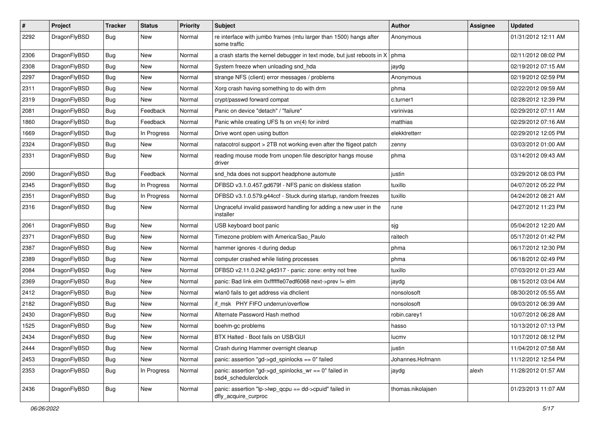| $\sharp$ | Project      | <b>Tracker</b> | <b>Status</b> | <b>Priority</b> | <b>Subject</b>                                                                    | <b>Author</b>     | Assignee | <b>Updated</b>      |
|----------|--------------|----------------|---------------|-----------------|-----------------------------------------------------------------------------------|-------------------|----------|---------------------|
| 2292     | DragonFlyBSD | Bug            | New           | Normal          | re interface with jumbo frames (mtu larger than 1500) hangs after<br>some traffic | Anonymous         |          | 01/31/2012 12:11 AM |
| 2306     | DragonFlyBSD | <b>Bug</b>     | <b>New</b>    | Normal          | a crash starts the kernel debugger in text mode, but just reboots in X            | phma              |          | 02/11/2012 08:02 PM |
| 2308     | DragonFlyBSD | <b>Bug</b>     | <b>New</b>    | Normal          | System freeze when unloading snd_hda                                              | jaydg             |          | 02/19/2012 07:15 AM |
| 2297     | DragonFlyBSD | Bug            | <b>New</b>    | Normal          | strange NFS (client) error messages / problems                                    | Anonymous         |          | 02/19/2012 02:59 PM |
| 2311     | DragonFlyBSD | Bug            | New           | Normal          | Xorg crash having something to do with drm                                        | phma              |          | 02/22/2012 09:59 AM |
| 2319     | DragonFlyBSD | <b>Bug</b>     | <b>New</b>    | Normal          | crypt/passwd forward compat                                                       | c.turner1         |          | 02/28/2012 12:39 PM |
| 2081     | DragonFlyBSD | Bug            | Feedback      | Normal          | Panic on device "detach" / "failure"                                              | vsrinivas         |          | 02/29/2012 07:11 AM |
| 1860     | DragonFlyBSD | <b>Bug</b>     | Feedback      | Normal          | Panic while creating UFS fs on vn(4) for initrd                                   | matthias          |          | 02/29/2012 07:16 AM |
| 1669     | DragonFlyBSD | Bug            | In Progress   | Normal          | Drive wont open using button                                                      | elekktretterr     |          | 02/29/2012 12:05 PM |
| 2324     | DragonFlyBSD | <b>Bug</b>     | New           | Normal          | natacotrol support > 2TB not working even after the ftigeot patch                 | zenny             |          | 03/03/2012 01:00 AM |
| 2331     | DragonFlyBSD | Bug            | New           | Normal          | reading mouse mode from unopen file descriptor hangs mouse<br>driver              | phma              |          | 03/14/2012 09:43 AM |
| 2090     | DragonFlyBSD | Bug            | Feedback      | Normal          | snd_hda does not support headphone automute                                       | justin            |          | 03/29/2012 08:03 PM |
| 2345     | DragonFlyBSD | <b>Bug</b>     | In Progress   | Normal          | DFBSD v3.1.0.457.gd679f - NFS panic on diskless station                           | tuxillo           |          | 04/07/2012 05:22 PM |
| 2351     | DragonFlyBSD | Bug            | In Progress   | Normal          | DFBSD v3.1.0.579.g44ccf - Stuck during startup, random freezes                    | tuxillo           |          | 04/24/2012 08:21 AM |
| 2316     | DragonFlyBSD | Bug            | New           | Normal          | Ungraceful invalid password handling for adding a new user in the<br>installer    | rune              |          | 04/27/2012 11:23 PM |
| 2061     | DragonFlyBSD | <b>Bug</b>     | <b>New</b>    | Normal          | USB keyboard boot panic                                                           | sjg               |          | 05/04/2012 12:20 AM |
| 2371     | DragonFlyBSD | <b>Bug</b>     | <b>New</b>    | Normal          | Timezone problem with America/Sao_Paulo                                           | raitech           |          | 05/17/2012 01:42 PM |
| 2387     | DragonFlyBSD | Bug            | New           | Normal          | hammer ignores -t during dedup                                                    | phma              |          | 06/17/2012 12:30 PM |
| 2389     | DragonFlyBSD | <b>Bug</b>     | <b>New</b>    | Normal          | computer crashed while listing processes                                          | phma              |          | 06/18/2012 02:49 PM |
| 2084     | DragonFlyBSD | <b>Bug</b>     | <b>New</b>    | Normal          | DFBSD v2.11.0.242.g4d317 - panic: zone: entry not free                            | tuxillo           |          | 07/03/2012 01:23 AM |
| 2369     | DragonFlyBSD | Bug            | <b>New</b>    | Normal          | panic: Bad link elm 0xffffffe07edf6068 next->prev != elm                          | jaydg             |          | 08/15/2012 03:04 AM |
| 2412     | DragonFlyBSD | <b>Bug</b>     | New           | Normal          | wlan0 fails to get address via dhclient                                           | nonsolosoft       |          | 08/30/2012 05:55 AM |
| 2182     | DragonFlyBSD | <b>Bug</b>     | <b>New</b>    | Normal          | if msk PHY FIFO underrun/overflow                                                 | nonsolosoft       |          | 09/03/2012 06:39 AM |
| 2430     | DragonFlyBSD | <b>Bug</b>     | <b>New</b>    | Normal          | Alternate Password Hash method                                                    | robin.carey1      |          | 10/07/2012 06:28 AM |
| 1525     | DragonFlyBSD | Bug            | <b>New</b>    | Normal          | boehm-gc problems                                                                 | hasso             |          | 10/13/2012 07:13 PM |
| 2434     | DragonFlyBSD | Bug            | <b>New</b>    | Normal          | BTX Halted - Boot fails on USB/GUI                                                | lucmv             |          | 10/17/2012 08:12 PM |
| 2444     | DragonFlyBSD | Bug            | New           | Normal          | Crash during Hammer overnight cleanup                                             | justin            |          | 11/04/2012 07:58 AM |
| 2453     | DragonFlyBSD | <b>Bug</b>     | New           | Normal          | panic: assertion "gd->gd_spinlocks == $0$ " failed                                | Johannes.Hofmann  |          | 11/12/2012 12:54 PM |
| 2353     | DragonFlyBSD | Bug            | In Progress   | Normal          | panic: assertion "gd->gd_spinlocks_wr == 0" failed in<br>bsd4_schedulerclock      | jaydg             | alexh    | 11/28/2012 01:57 AM |
| 2436     | DragonFlyBSD | <b>Bug</b>     | New           | Normal          | panic: assertion "lp->lwp_qcpu == dd->cpuid" failed in<br>dfly_acquire_curproc    | thomas.nikolajsen |          | 01/23/2013 11:07 AM |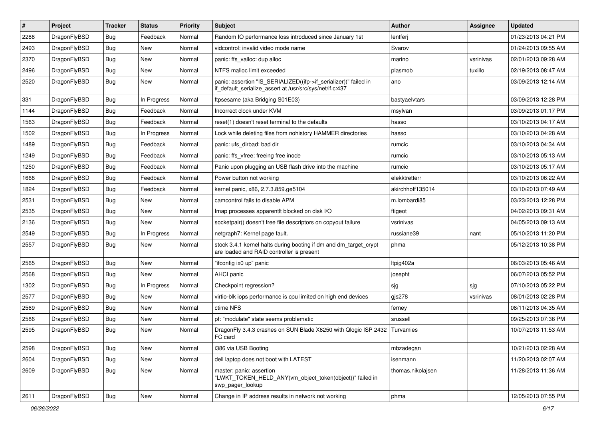| $\sharp$ | Project      | <b>Tracker</b> | <b>Status</b> | <b>Priority</b> | Subject                                                                                                                      | <b>Author</b>     | <b>Assignee</b> | <b>Updated</b>      |
|----------|--------------|----------------|---------------|-----------------|------------------------------------------------------------------------------------------------------------------------------|-------------------|-----------------|---------------------|
| 2288     | DragonFlyBSD | <b>Bug</b>     | Feedback      | Normal          | Random IO performance loss introduced since January 1st                                                                      | lentferj          |                 | 01/23/2013 04:21 PM |
| 2493     | DragonFlyBSD | <b>Bug</b>     | <b>New</b>    | Normal          | vidcontrol: invalid video mode name                                                                                          | Svarov            |                 | 01/24/2013 09:55 AM |
| 2370     | DragonFlyBSD | <b>Bug</b>     | <b>New</b>    | Normal          | panic: ffs_valloc: dup alloc                                                                                                 | marino            | vsrinivas       | 02/01/2013 09:28 AM |
| 2496     | DragonFlyBSD | <b>Bug</b>     | New           | Normal          | NTFS malloc limit exceeded                                                                                                   | plasmob           | tuxillo         | 02/19/2013 08:47 AM |
| 2520     | DragonFlyBSD | <b>Bug</b>     | New           | Normal          | panic: assertion "IS_SERIALIZED((ifp->if_serializer))" failed in<br>if default serialize assert at /usr/src/sys/net/if.c:437 | ano               |                 | 03/09/2013 12:14 AM |
| 331      | DragonFlyBSD | <b>Bug</b>     | In Progress   | Normal          | ftpsesame (aka Bridging S01E03)                                                                                              | bastyaelvtars     |                 | 03/09/2013 12:28 PM |
| 1144     | DragonFlyBSD | <b>Bug</b>     | Feedback      | Normal          | Incorrect clock under KVM                                                                                                    | msylvan           |                 | 03/09/2013 01:17 PM |
| 1563     | DragonFlyBSD | <b>Bug</b>     | Feedback      | Normal          | reset(1) doesn't reset terminal to the defaults                                                                              | hasso             |                 | 03/10/2013 04:17 AM |
| 1502     | DragonFlyBSD | <b>Bug</b>     | In Progress   | Normal          | Lock while deleting files from nohistory HAMMER directories                                                                  | hasso             |                 | 03/10/2013 04:28 AM |
| 1489     | DragonFlyBSD | <b>Bug</b>     | Feedback      | Normal          | panic: ufs dirbad: bad dir                                                                                                   | rumcic            |                 | 03/10/2013 04:34 AM |
| 1249     | DragonFlyBSD | <b>Bug</b>     | Feedback      | Normal          | panic: ffs_vfree: freeing free inode                                                                                         | rumcic            |                 | 03/10/2013 05:13 AM |
| 1250     | DragonFlyBSD | <b>Bug</b>     | Feedback      | Normal          | Panic upon plugging an USB flash drive into the machine                                                                      | rumcic            |                 | 03/10/2013 05:17 AM |
| 1668     | DragonFlyBSD | <b>Bug</b>     | Feedback      | Normal          | Power button not working                                                                                                     | elekktretterr     |                 | 03/10/2013 06:22 AM |
| 1824     | DragonFlyBSD | <b>Bug</b>     | Feedback      | Normal          | kernel panic, x86, 2.7.3.859.ge5104                                                                                          | akirchhoff135014  |                 | 03/10/2013 07:49 AM |
| 2531     | DragonFlyBSD | <b>Bug</b>     | New           | Normal          | camcontrol fails to disable APM                                                                                              | m.lombardi85      |                 | 03/23/2013 12:28 PM |
| 2535     | DragonFlyBSD | <b>Bug</b>     | New           | Normal          | Imap processes apparentit blocked on disk I/O                                                                                | ftigeot           |                 | 04/02/2013 09:31 AM |
| 2136     | DragonFlyBSD | Bug            | New           | Normal          | socketpair() doesn't free file descriptors on copyout failure                                                                | vsrinivas         |                 | 04/05/2013 09:13 AM |
| 2549     | DragonFlyBSD | <b>Bug</b>     | In Progress   | Normal          | netgraph7: Kernel page fault.                                                                                                | russiane39        | nant            | 05/10/2013 11:20 PM |
| 2557     | DragonFlyBSD | Bug            | <b>New</b>    | Normal          | stock 3.4.1 kernel halts during booting if dm and dm_target_crypt<br>are loaded and RAID controller is present               | phma              |                 | 05/12/2013 10:38 PM |
| 2565     | DragonFlyBSD | Bug            | <b>New</b>    | Normal          | "ifconfig ix0 up" panic                                                                                                      | ltpig402a         |                 | 06/03/2013 05:46 AM |
| 2568     | DragonFlyBSD | Bug            | <b>New</b>    | Normal          | AHCI panic                                                                                                                   | josepht           |                 | 06/07/2013 05:52 PM |
| 1302     | DragonFlyBSD | <b>Bug</b>     | In Progress   | Normal          | Checkpoint regression?                                                                                                       | sjg               | sjg             | 07/10/2013 05:22 PM |
| 2577     | DragonFlyBSD | <b>Bug</b>     | New           | Normal          | virtio-blk iops performance is cpu limited on high end devices                                                               | gjs278            | vsrinivas       | 08/01/2013 02:28 PM |
| 2569     | DragonFlyBSD | Bug            | New           | Normal          | ctime NFS                                                                                                                    | ferney            |                 | 08/11/2013 04:35 AM |
| 2586     | DragonFlyBSD | Bug            | New           | Normal          | pf: "modulate" state seems problematic                                                                                       | srussell          |                 | 09/25/2013 07:36 PM |
| 2595     | DragonFlyBSD | Bug            | New           | Normal          | DragonFly 3.4.3 crashes on SUN Blade X6250 with Qlogic ISP 2432<br>FC card                                                   | Turvamies         |                 | 10/07/2013 11:53 AM |
| 2598     | DragonFlyBSD | Bug            | <b>New</b>    | Normal          | i386 via USB Booting                                                                                                         | mbzadegan         |                 | 10/21/2013 02:28 AM |
| 2604     | DragonFlyBSD | <b>Bug</b>     | <b>New</b>    | Normal          | dell laptop does not boot with LATEST                                                                                        | isenmann          |                 | 11/20/2013 02:07 AM |
| 2609     | DragonFlyBSD | <b>Bug</b>     | New           | Normal          | master: panic: assertion<br>"LWKT TOKEN HELD ANY(vm object token(object))" failed in<br>swp_pager_lookup                     | thomas.nikolajsen |                 | 11/28/2013 11:36 AM |
| 2611     | DragonFlyBSD | <b>Bug</b>     | New           | Normal          | Change in IP address results in network not working                                                                          | phma              |                 | 12/05/2013 07:55 PM |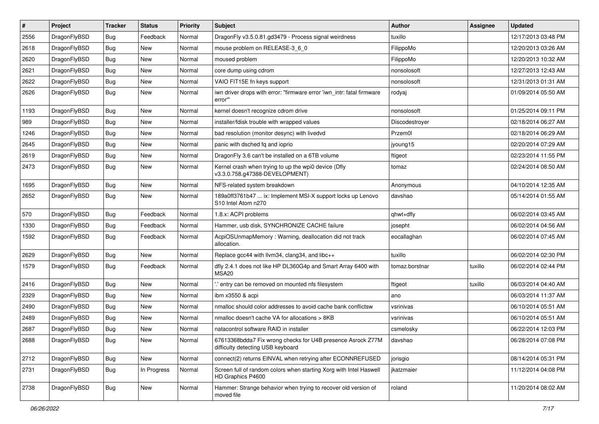| #    | Project      | <b>Tracker</b> | <b>Status</b> | <b>Priority</b> | Subject                                                                                          | Author         | <b>Assignee</b> | <b>Updated</b>      |
|------|--------------|----------------|---------------|-----------------|--------------------------------------------------------------------------------------------------|----------------|-----------------|---------------------|
| 2556 | DragonFlyBSD | Bug            | Feedback      | Normal          | DragonFly v3.5.0.81.gd3479 - Process signal weirdness                                            | tuxillo        |                 | 12/17/2013 03:48 PM |
| 2618 | DragonFlyBSD | Bug            | <b>New</b>    | Normal          | mouse problem on RELEASE-3_6_0                                                                   | FilippoMo      |                 | 12/20/2013 03:26 AM |
| 2620 | DragonFlyBSD | <b>Bug</b>     | New           | Normal          | moused problem                                                                                   | FilippoMo      |                 | 12/20/2013 10:32 AM |
| 2621 | DragonFlyBSD | <b>Bug</b>     | New           | Normal          | core dump using cdrom                                                                            | nonsolosoft    |                 | 12/27/2013 12:43 AM |
| 2622 | DragonFlyBSD | <b>Bug</b>     | New           | Normal          | VAIO FIT15E fn keys support                                                                      | nonsolosoft    |                 | 12/31/2013 01:31 AM |
| 2626 | DragonFlyBSD | <b>Bug</b>     | <b>New</b>    | Normal          | iwn driver drops with error: "firmware error 'iwn intr: fatal firmware<br>error"                 | rodyaj         |                 | 01/09/2014 05:50 AM |
| 1193 | DragonFlyBSD | <b>Bug</b>     | <b>New</b>    | Normal          | kernel doesn't recognize cdrom drive                                                             | nonsolosoft    |                 | 01/25/2014 09:11 PM |
| 989  | DragonFlyBSD | <b>Bug</b>     | New           | Normal          | installer/fdisk trouble with wrapped values                                                      | Discodestroyer |                 | 02/18/2014 06:27 AM |
| 1246 | DragonFlyBSD | <b>Bug</b>     | <b>New</b>    | Normal          | bad resolution (monitor desync) with livedvd                                                     | Przem0l        |                 | 02/18/2014 06:29 AM |
| 2645 | DragonFlyBSD | <b>Bug</b>     | New           | Normal          | panic with dsched fq and ioprio                                                                  | jyoung15       |                 | 02/20/2014 07:29 AM |
| 2619 | DragonFlyBSD | <b>Bug</b>     | New           | Normal          | DragonFly 3.6 can't be installed on a 6TB volume                                                 | ftigeot        |                 | 02/23/2014 11:55 PM |
| 2473 | DragonFlyBSD | <b>Bug</b>     | <b>New</b>    | Normal          | Kernel crash when trying to up the wpi0 device (Dfly<br>v3.3.0.758.g47388-DEVELOPMENT)           | tomaz          |                 | 02/24/2014 08:50 AM |
| 1695 | DragonFlyBSD | <b>Bug</b>     | New           | Normal          | NFS-related system breakdown                                                                     | Anonymous      |                 | 04/10/2014 12:35 AM |
| 2652 | DragonFlyBSD | <b>Bug</b>     | New           | Normal          | 189a0ff3761b47  ix: Implement MSI-X support locks up Lenovo<br>S10 Intel Atom n270               | davshao        |                 | 05/14/2014 01:55 AM |
| 570  | DragonFlyBSD | <b>Bug</b>     | Feedback      | Normal          | 1.8.x: ACPI problems                                                                             | qhwt+dfly      |                 | 06/02/2014 03:45 AM |
| 1330 | DragonFlyBSD | <b>Bug</b>     | Feedback      | Normal          | Hammer, usb disk, SYNCHRONIZE CACHE failure                                                      | josepht        |                 | 06/02/2014 04:56 AM |
| 1592 | DragonFlyBSD | <b>Bug</b>     | Feedback      | Normal          | AcpiOSUnmapMemory: Warning, deallocation did not track<br>allocation.                            | eocallaghan    |                 | 06/02/2014 07:45 AM |
| 2629 | DragonFlyBSD | <b>Bug</b>     | New           | Normal          | Replace gcc44 with llvm34, clang34, and libc++                                                   | tuxillo        |                 | 06/02/2014 02:30 PM |
| 1579 | DragonFlyBSD | <b>Bug</b>     | Feedback      | Normal          | dfly 2.4.1 does not like HP DL360G4p and Smart Array 6400 with<br>MSA20                          | tomaz.borstnar | tuxillo         | 06/02/2014 02:44 PM |
| 2416 | DragonFlyBSD | <b>Bug</b>     | New           | Normal          | ".' entry can be removed on mounted nfs filesystem                                               | ftigeot        | tuxillo         | 06/03/2014 04:40 AM |
| 2329 | DragonFlyBSD | <b>Bug</b>     | <b>New</b>    | Normal          | ibm x3550 & acpi                                                                                 | ano            |                 | 06/03/2014 11:37 AM |
| 2490 | DragonFlyBSD | <b>Bug</b>     | New           | Normal          | nmalloc should color addresses to avoid cache bank conflictsw                                    | vsrinivas      |                 | 06/10/2014 05:51 AM |
| 2489 | DragonFlyBSD | <b>Bug</b>     | New           | Normal          | nmalloc doesn't cache VA for allocations > 8KB                                                   | vsrinivas      |                 | 06/10/2014 05:51 AM |
| 2687 | DragonFlyBSD | <b>Bug</b>     | <b>New</b>    | Normal          | natacontrol software RAID in installer                                                           | csmelosky      |                 | 06/22/2014 12:03 PM |
| 2688 | DragonFlyBSD | <b>Bug</b>     | New           | Normal          | 67613368bdda7 Fix wrong checks for U4B presence Asrock Z77M<br>difficulty detecting USB keyboard | davshao        |                 | 06/28/2014 07:08 PM |
| 2712 | DragonFlyBSD | Bug            | New           | Normal          | connect(2) returns EINVAL when retrying after ECONNREFUSED                                       | jorisgio       |                 | 08/14/2014 05:31 PM |
| 2731 | DragonFlyBSD | <b>Bug</b>     | In Progress   | Normal          | Screen full of random colors when starting Xorg with Intel Haswell<br>HD Graphics P4600          | jkatzmaier     |                 | 11/12/2014 04:08 PM |
| 2738 | DragonFlyBSD | <b>Bug</b>     | New           | Normal          | Hammer: Strange behavior when trying to recover old version of<br>moved file                     | roland         |                 | 11/20/2014 08:02 AM |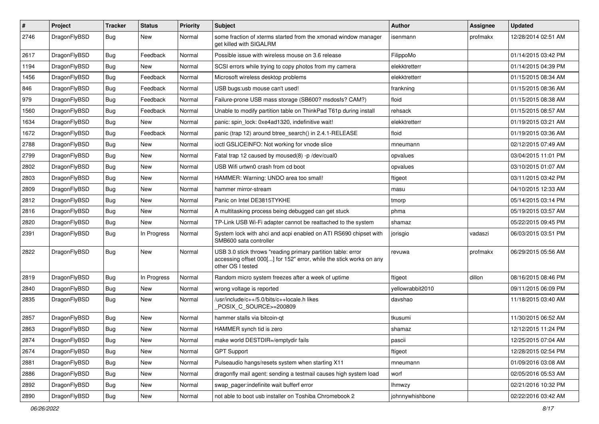| $\sharp$ | Project      | <b>Tracker</b> | <b>Status</b> | <b>Priority</b> | Subject                                                                                                                                                  | Author           | Assignee | <b>Updated</b>      |
|----------|--------------|----------------|---------------|-----------------|----------------------------------------------------------------------------------------------------------------------------------------------------------|------------------|----------|---------------------|
| 2746     | DragonFlyBSD | Bug            | New           | Normal          | some fraction of xterms started from the xmonad window manager<br>get killed with SIGALRM                                                                | isenmann         | profmakx | 12/28/2014 02:51 AM |
| 2617     | DragonFlyBSD | Bug            | Feedback      | Normal          | Possible issue with wireless mouse on 3.6 release                                                                                                        | FilippoMo        |          | 01/14/2015 03:42 PM |
| 1194     | DragonFlyBSD | <b>Bug</b>     | New           | Normal          | SCSI errors while trying to copy photos from my camera                                                                                                   | elekktretterr    |          | 01/14/2015 04:39 PM |
| 1456     | DragonFlyBSD | Bug            | Feedback      | Normal          | Microsoft wireless desktop problems                                                                                                                      | elekktretterr    |          | 01/15/2015 08:34 AM |
| 846      | DragonFlyBSD | <b>Bug</b>     | Feedback      | Normal          | USB bugs:usb mouse can't used!                                                                                                                           | frankning        |          | 01/15/2015 08:36 AM |
| 979      | DragonFlyBSD | <b>Bug</b>     | Feedback      | Normal          | Failure-prone USB mass storage (SB600? msdosfs? CAM?)                                                                                                    | floid            |          | 01/15/2015 08:38 AM |
| 1560     | DragonFlyBSD | <b>Bug</b>     | Feedback      | Normal          | Unable to modify partition table on ThinkPad T61p during install                                                                                         | rehsack          |          | 01/15/2015 08:57 AM |
| 1634     | DragonFlyBSD | <b>Bug</b>     | <b>New</b>    | Normal          | panic: spin lock: 0xe4ad1320, indefinitive wait!                                                                                                         | elekktretterr    |          | 01/19/2015 03:21 AM |
| 1672     | DragonFlyBSD | Bug            | Feedback      | Normal          | panic (trap 12) around btree_search() in 2.4.1-RELEASE                                                                                                   | floid            |          | 01/19/2015 03:36 AM |
| 2788     | DragonFlyBSD | <b>Bug</b>     | <b>New</b>    | Normal          | ioctl GSLICEINFO: Not working for vnode slice                                                                                                            | mneumann         |          | 02/12/2015 07:49 AM |
| 2799     | DragonFlyBSD | <b>Bug</b>     | New           | Normal          | Fatal trap 12 caused by moused(8) -p /dev/cual0                                                                                                          | opvalues         |          | 03/04/2015 11:01 PM |
| 2802     | DragonFlyBSD | <b>Bug</b>     | <b>New</b>    | Normal          | USB Wifi urtwn0 crash from cd boot                                                                                                                       | opvalues         |          | 03/10/2015 01:07 AM |
| 2803     | DragonFlyBSD | <b>Bug</b>     | New           | Normal          | HAMMER: Warning: UNDO area too small!                                                                                                                    | ftigeot          |          | 03/11/2015 03:42 PM |
| 2809     | DragonFlyBSD | <b>Bug</b>     | <b>New</b>    | Normal          | hammer mirror-stream                                                                                                                                     | masu             |          | 04/10/2015 12:33 AM |
| 2812     | DragonFlyBSD | <b>Bug</b>     | New           | Normal          | Panic on Intel DE3815TYKHE                                                                                                                               | tmorp            |          | 05/14/2015 03:14 PM |
| 2816     | DragonFlyBSD | <b>Bug</b>     | <b>New</b>    | Normal          | A multitasking process being debugged can get stuck                                                                                                      | phma             |          | 05/19/2015 03:57 AM |
| 2820     | DragonFlyBSD | <b>Bug</b>     | <b>New</b>    | Normal          | TP-Link USB Wi-Fi adapter cannot be reattached to the system                                                                                             | shamaz           |          | 05/22/2015 09:45 PM |
| 2391     | DragonFlyBSD | <b>Bug</b>     | In Progress   | Normal          | System lock with ahci and acpi enabled on ATI RS690 chipset with<br>SMB600 sata controller                                                               | jorisgio         | vadaszi  | 06/03/2015 03:51 PM |
| 2822     | DragonFlyBSD | Bug            | New           | Normal          | USB 3.0 stick throws "reading primary partition table: error<br>accessing offset 000[] for 152" error, while the stick works on any<br>other OS I tested | revuwa           | profmakx | 06/29/2015 05:56 AM |
| 2819     | DragonFlyBSD | <b>Bug</b>     | In Progress   | Normal          | Random micro system freezes after a week of uptime                                                                                                       | ftigeot          | dillon   | 08/16/2015 08:46 PM |
| 2840     | DragonFlyBSD | <b>Bug</b>     | New           | Normal          | wrong voltage is reported                                                                                                                                | yellowrabbit2010 |          | 09/11/2015 06:09 PM |
| 2835     | DragonFlyBSD | Bug            | <b>New</b>    | Normal          | /usr/include/c++/5.0/bits/c++locale.h likes<br>POSIX C SOURCE>=200809                                                                                    | davshao          |          | 11/18/2015 03:40 AM |
| 2857     | DragonFlyBSD | Bug            | <b>New</b>    | Normal          | hammer stalls via bitcoin-qt                                                                                                                             | tkusumi          |          | 11/30/2015 06:52 AM |
| 2863     | DragonFlyBSD | <b>Bug</b>     | <b>New</b>    | Normal          | HAMMER synch tid is zero                                                                                                                                 | shamaz           |          | 12/12/2015 11:24 PM |
| 2874     | DragonFlyBSD | <b>Bug</b>     | New           | Normal          | make world DESTDIR=/emptydir fails                                                                                                                       | pascii           |          | 12/25/2015 07:04 AM |
| 2674     | DragonFlyBSD | <b>Bug</b>     | New           | Normal          | <b>GPT Support</b>                                                                                                                                       | ftigeot          |          | 12/28/2015 02:54 PM |
| 2881     | DragonFlyBSD | <b>Bug</b>     | New           | Normal          | Pulseaudio hangs/resets system when starting X11                                                                                                         | mneumann         |          | 01/09/2016 03:08 AM |
| 2886     | DragonFlyBSD | <b>Bug</b>     | New           | Normal          | dragonfly mail agent: sending a testmail causes high system load                                                                                         | worf             |          | 02/05/2016 05:53 AM |
| 2892     | DragonFlyBSD | Bug            | New           | Normal          | swap pager:indefinite wait bufferf error                                                                                                                 | <b>Ihmwzy</b>    |          | 02/21/2016 10:32 PM |
| 2890     | DragonFlyBSD | <b>Bug</b>     | New           | Normal          | not able to boot usb installer on Toshiba Chromebook 2                                                                                                   | johnnywhishbone  |          | 02/22/2016 03:42 AM |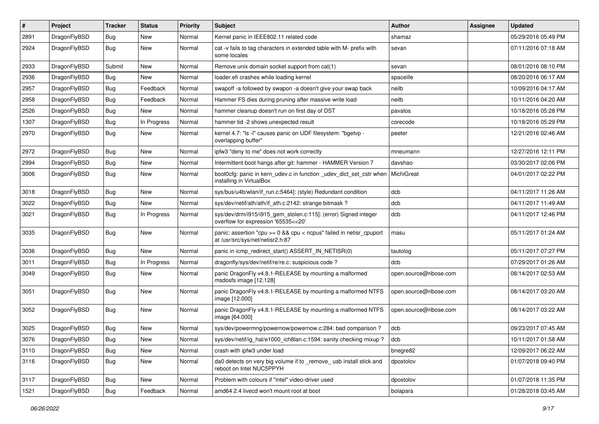| $\pmb{\#}$ | Project      | <b>Tracker</b> | <b>Status</b> | <b>Priority</b> | Subject                                                                                                 | Author                 | Assignee | <b>Updated</b>      |
|------------|--------------|----------------|---------------|-----------------|---------------------------------------------------------------------------------------------------------|------------------------|----------|---------------------|
| 2891       | DragonFlyBSD | Bug            | New           | Normal          | Kernel panic in IEEE802.11 related code                                                                 | shamaz                 |          | 05/29/2016 05:49 PM |
| 2924       | DragonFlyBSD | Bug            | New           | Normal          | cat -v fails to tag characters in extended table with M- prefix with<br>some locales                    | sevan                  |          | 07/11/2016 07:18 AM |
| 2933       | DragonFlyBSD | Submit         | New           | Normal          | Remove unix domain socket support from cat(1)                                                           | sevan                  |          | 08/01/2016 08:10 PM |
| 2936       | DragonFlyBSD | Bug            | <b>New</b>    | Normal          | loader.efi crashes while loading kernel                                                                 | spaceille              |          | 08/20/2016 06:17 AM |
| 2957       | DragonFlyBSD | Bug            | Feedback      | Normal          | swapoff -a followed by swapon -a doesn't give your swap back                                            | neilb                  |          | 10/09/2016 04:17 AM |
| 2958       | DragonFlyBSD | <b>Bug</b>     | Feedback      | Normal          | Hammer FS dies during pruning after massive write load                                                  | neilb                  |          | 10/11/2016 04:20 AM |
| 2526       | DragonFlyBSD | Bug            | New           | Normal          | hammer cleanup doesn't run on first day of DST                                                          | pavalos                |          | 10/18/2016 05:28 PM |
| 1307       | DragonFlyBSD | Bug            | In Progress   | Normal          | hammer tid -2 shows unexpected result                                                                   | corecode               |          | 10/18/2016 05:29 PM |
| 2970       | DragonFlyBSD | Bug            | <b>New</b>    | Normal          | kernel 4.7: "Is -I" causes panic on UDF filesystem: "bgetvp -<br>overlapping buffer"                    | peeter                 |          | 12/21/2016 02:46 AM |
| 2972       | DragonFlyBSD | Bug            | <b>New</b>    | Normal          | ipfw3 "deny to me" does not work correctly                                                              | mneumann               |          | 12/27/2016 12:11 PM |
| 2994       | DragonFlyBSD | Bug            | New           | Normal          | Intermittent boot hangs after git: hammer - HAMMER Version 7                                            | davshao                |          | 03/30/2017 02:06 PM |
| 3006       | DragonFlyBSD | Bug            | <b>New</b>    | Normal          | boot0cfg: panic in kern_udev.c in function _udev_dict_set_cstr when<br>installing in VirtualBox         | MichiGreat             |          | 04/01/2017 02:22 PM |
| 3018       | DragonFlyBSD | Bug            | New           | Normal          | sys/bus/u4b/wlan/if_run.c:5464]: (style) Redundant condition                                            | dcb                    |          | 04/11/2017 11:26 AM |
| 3022       | DragonFlyBSD | Bug            | New           | Normal          | sys/dev/netif/ath/ath/if ath.c:2142: strange bitmask?                                                   | dcb                    |          | 04/11/2017 11:49 AM |
| 3021       | DragonFlyBSD | Bug            | In Progress   | Normal          | sys/dev/drm/i915/i915_gem_stolen.c:115]: (error) Signed integer<br>overflow for expression '65535<<20'  | dcb                    |          | 04/11/2017 12:46 PM |
| 3035       | DragonFlyBSD | Bug            | New           | Normal          | panic: assertion "cpu >= 0 && cpu < ncpus" failed in netisr_cpuport<br>at /usr/src/sys/net/netisr2.h:87 | masu                   |          | 05/11/2017 01:24 AM |
| 3036       | DragonFlyBSD | <b>Bug</b>     | New           | Normal          | panic in icmp_redirect_start() ASSERT_IN_NETISR(0)                                                      | tautolog               |          | 05/11/2017 07:27 PM |
| 3011       | DragonFlyBSD | Bug            | In Progress   | Normal          | dragonfly/sys/dev/netif/re/re.c: suspicious code ?                                                      | dcb                    |          | 07/29/2017 01:26 AM |
| 3049       | DragonFlyBSD | Bug            | New           | Normal          | panic DragonFly v4.8.1-RELEASE by mounting a malformed<br>msdosfs image [12.128]                        | open.source@ribose.com |          | 08/14/2017 02:53 AM |
| 3051       | DragonFlyBSD | Bug            | <b>New</b>    | Normal          | panic DragonFly v4.8.1-RELEASE by mounting a malformed NTFS<br>image [12.000]                           | open.source@ribose.com |          | 08/14/2017 03:20 AM |
| 3052       | DragonFlyBSD | Bug            | New           | Normal          | panic DragonFly v4.8.1-RELEASE by mounting a malformed NTFS<br>image [64.000]                           | open.source@ribose.com |          | 08/14/2017 03:22 AM |
| 3025       | DragonFlyBSD | <b>Bug</b>     | New           | Normal          | sys/dev/powermng/powernow/powernow.c:284: bad comparison?                                               | dcb                    |          | 09/23/2017 07:45 AM |
| 3076       | DragonFlyBSD | <b>Bug</b>     | New           | Normal          | sys/dev/netif/ig_hal/e1000_ich8lan.c:1594: sanity checking mixup ?                                      | dcb                    |          | 10/11/2017 01:58 AM |
| 3110       | DragonFlyBSD | <b>Bug</b>     | New           | Normal          | crash with ipfw3 under load                                                                             | bnegre82               |          | 12/09/2017 06:22 AM |
| 3116       | DragonFlyBSD | Bug            | New           | Normal          | da0 detects on very big volume if to _remove_ usb install stick and<br>reboot on Intel NUC5PPYH         | dpostolov              |          | 01/07/2018 09:40 PM |
| 3117       | DragonFlyBSD | <b>Bug</b>     | New           | Normal          | Problem with colours if "intel" video-driver used                                                       | dpostolov              |          | 01/07/2018 11:35 PM |
| 1521       | DragonFlyBSD | <b>Bug</b>     | Feedback      | Normal          | amd64 2.4 livecd won't mount root at boot                                                               | bolapara               |          | 01/28/2018 03:45 AM |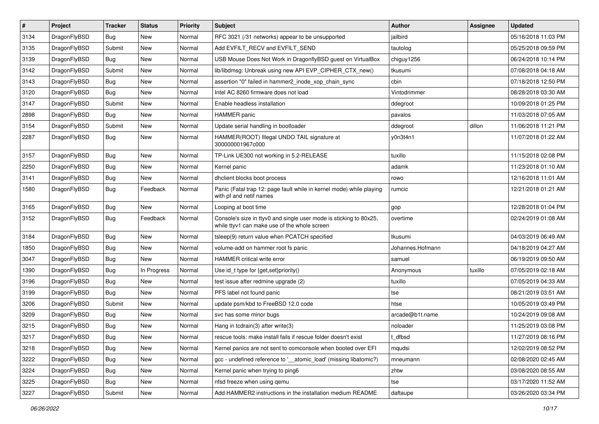| $\sharp$ | Project      | <b>Tracker</b> | <b>Status</b> | <b>Priority</b> | Subject                                                                                                            | Author           | Assignee | <b>Updated</b>      |
|----------|--------------|----------------|---------------|-----------------|--------------------------------------------------------------------------------------------------------------------|------------------|----------|---------------------|
| 3134     | DragonFlyBSD | Bug            | <b>New</b>    | Normal          | RFC 3021 (/31 networks) appear to be unsupported                                                                   | jailbird         |          | 05/16/2018 11:03 PM |
| 3135     | DragonFlyBSD | Submit         | <b>New</b>    | Normal          | Add EVFILT_RECV and EVFILT_SEND                                                                                    | tautolog         |          | 05/25/2018 09:59 PM |
| 3139     | DragonFlyBSD | <b>Bug</b>     | New           | Normal          | USB Mouse Does Not Work in DragonflyBSD guest on VirtualBox                                                        | chiguy1256       |          | 06/24/2018 10:14 PM |
| 3142     | DragonFlyBSD | Submit         | <b>New</b>    | Normal          | lib/libdmsg: Unbreak using new API EVP_CIPHER_CTX_new()                                                            | tkusumi          |          | 07/08/2018 04:18 AM |
| 3143     | DragonFlyBSD | <b>Bug</b>     | <b>New</b>    | Normal          | assertion "0" failed in hammer2_inode_xop_chain_sync                                                               | cbin             |          | 07/18/2018 12:50 PM |
| 3120     | DragonFlyBSD | <b>Bug</b>     | <b>New</b>    | Normal          | Intel AC 8260 firmware does not load                                                                               | Vintodrimmer     |          | 08/28/2018 03:30 AM |
| 3147     | DragonFlyBSD | Submit         | New           | Normal          | Enable headless installation                                                                                       | ddegroot         |          | 10/09/2018 01:25 PM |
| 2898     | DragonFlyBSD | Bug            | New           | Normal          | HAMMER panic                                                                                                       | pavalos          |          | 11/03/2018 07:05 AM |
| 3154     | DragonFlyBSD | Submit         | <b>New</b>    | Normal          | Update serial handling in bootloader                                                                               | ddegroot         | dillon   | 11/06/2018 11:21 PM |
| 2287     | DragonFlyBSD | <b>Bug</b>     | New           | Normal          | HAMMER(ROOT) Illegal UNDO TAIL signature at<br>300000001967c000                                                    | y0n3t4n1         |          | 11/07/2018 01:22 AM |
| 3157     | DragonFlyBSD | <b>Bug</b>     | <b>New</b>    | Normal          | TP-Link UE300 not working in 5.2-RELEASE                                                                           | tuxillo          |          | 11/15/2018 02:08 PM |
| 2250     | DragonFlyBSD | <b>Bug</b>     | New           | Normal          | Kernel panic                                                                                                       | adamk            |          | 11/23/2018 01:10 AM |
| 3141     | DragonFlyBSD | <b>Bug</b>     | New           | Normal          | dhclient blocks boot process                                                                                       | rowo             |          | 12/16/2018 11:01 AM |
| 1580     | DragonFlyBSD | <b>Bug</b>     | Feedback      | Normal          | Panic (Fatal trap 12: page fault while in kernel mode) while playing<br>with pf and netif names                    | rumcic           |          | 12/21/2018 01:21 AM |
| 3165     | DragonFlyBSD | <b>Bug</b>     | New           | Normal          | Looping at boot time                                                                                               | gop              |          | 12/28/2018 01:04 PM |
| 3152     | DragonFlyBSD | <b>Bug</b>     | Feedback      | Normal          | Console's size in ttyv0 and single user mode is sticking to 80x25,<br>while ttyv1 can make use of the whole screen | overtime         |          | 02/24/2019 01:08 AM |
| 3184     | DragonFlyBSD | <b>Bug</b>     | <b>New</b>    | Normal          | tsleep(9) return value when PCATCH specified                                                                       | tkusumi          |          | 04/03/2019 06:49 AM |
| 1850     | DragonFlyBSD | <b>Bug</b>     | New           | Normal          | volume-add on hammer root fs panic                                                                                 | Johannes.Hofmann |          | 04/18/2019 04:27 AM |
| 3047     | DragonFlyBSD | <b>Bug</b>     | New           | Normal          | HAMMER critical write error                                                                                        | samuel           |          | 06/19/2019 09:50 AM |
| 1390     | DragonFlyBSD | <b>Bug</b>     | In Progress   | Normal          | Use id_t type for {get,set}priority()                                                                              | Anonymous        | tuxillo  | 07/05/2019 02:18 AM |
| 3196     | DragonFlyBSD | <b>Bug</b>     | New           | Normal          | test issue after redmine upgrade (2)                                                                               | tuxillo          |          | 07/05/2019 04:33 AM |
| 3199     | DragonFlyBSD | <b>Bug</b>     | New           | Normal          | PFS label not found panic                                                                                          | tse              |          | 08/21/2019 03:51 AM |
| 3206     | DragonFlyBSD | Submit         | <b>New</b>    | Normal          | update psm/kbd to FreeBSD 12.0 code                                                                                | htse             |          | 10/05/2019 03:49 PM |
| 3209     | DragonFlyBSD | <b>Bug</b>     | New           | Normal          | svc has some minor bugs                                                                                            | arcade@b1t.name  |          | 10/24/2019 09:08 AM |
| 3215     | DragonFlyBSD | <b>Bug</b>     | New           | Normal          | Hang in tcdrain(3) after write(3)                                                                                  | noloader         |          | 11/25/2019 03:08 PM |
| 3217     | DragonFlyBSD | Bug            | <b>New</b>    | Normal          | rescue tools: make install fails if rescue folder doesn't exist                                                    | i_dfbsd          |          | 11/27/2019 08:16 PM |
| 3218     | DragonFlyBSD | <b>Bug</b>     | New           | Normal          | Kernel panics are not sent to comconsole when booted over EFI                                                      | mqudsi           |          | 12/02/2019 08:52 PM |
| 3222     | DragonFlyBSD | Bug            | <b>New</b>    | Normal          | gcc - undefined reference to '__atomic_load' (missing libatomic?)                                                  | mneumann         |          | 02/08/2020 02:45 AM |
| 3224     | DragonFlyBSD | <b>Bug</b>     | <b>New</b>    | Normal          | Kernel panic when trying to ping6                                                                                  | zhtw             |          | 03/08/2020 08:55 AM |
| 3225     | DragonFlyBSD | Bug            | <b>New</b>    | Normal          | nfsd freeze when using gemu                                                                                        | tse              |          | 03/17/2020 11:52 AM |
| 3227     | DragonFlyBSD | Submit         | New           | Normal          | Add HAMMER2 instructions in the installation medium README                                                         | daftaupe         |          | 03/26/2020 03:34 PM |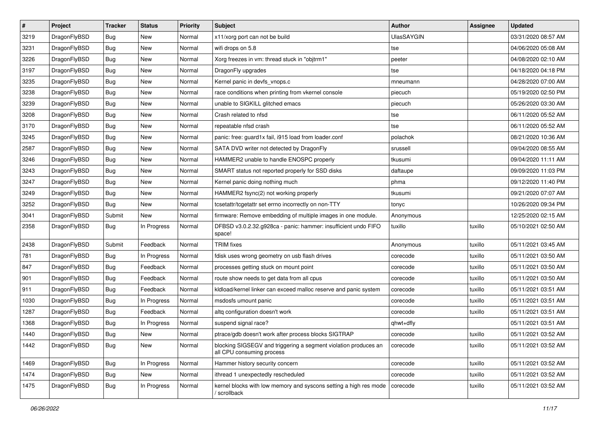| $\sharp$ | Project      | <b>Tracker</b> | <b>Status</b> | <b>Priority</b> | Subject                                                                                      | Author            | <b>Assignee</b> | <b>Updated</b>      |
|----------|--------------|----------------|---------------|-----------------|----------------------------------------------------------------------------------------------|-------------------|-----------------|---------------------|
| 3219     | DragonFlyBSD | <b>Bug</b>     | New           | Normal          | x11/xorg port can not be build                                                               | <b>UlasSAYGIN</b> |                 | 03/31/2020 08:57 AM |
| 3231     | DragonFlyBSD | Bug            | New           | Normal          | wifi drops on 5.8                                                                            | tse               |                 | 04/06/2020 05:08 AM |
| 3226     | DragonFlyBSD | <b>Bug</b>     | <b>New</b>    | Normal          | Xorg freezes in vm: thread stuck in "objtrm1"                                                | peeter            |                 | 04/08/2020 02:10 AM |
| 3197     | DragonFlyBSD | <b>Bug</b>     | <b>New</b>    | Normal          | DragonFly upgrades                                                                           | tse               |                 | 04/18/2020 04:18 PM |
| 3235     | DragonFlyBSD | Bug            | <b>New</b>    | Normal          | Kernel panic in devfs_vnops.c                                                                | mneumann          |                 | 04/28/2020 07:00 AM |
| 3238     | DragonFlyBSD | <b>Bug</b>     | <b>New</b>    | Normal          | race conditions when printing from vkernel console                                           | piecuch           |                 | 05/19/2020 02:50 PM |
| 3239     | DragonFlyBSD | Bug            | New           | Normal          | unable to SIGKILL glitched emacs                                                             | piecuch           |                 | 05/26/2020 03:30 AM |
| 3208     | DragonFlyBSD | <b>Bug</b>     | <b>New</b>    | Normal          | Crash related to nfsd                                                                        | tse               |                 | 06/11/2020 05:52 AM |
| 3170     | DragonFlyBSD | <b>Bug</b>     | <b>New</b>    | Normal          | repeatable nfsd crash                                                                        | tse               |                 | 06/11/2020 05:52 AM |
| 3245     | DragonFlyBSD | Bug            | New           | Normal          | panic: free: guard1x fail, i915 load from loader.conf                                        | polachok          |                 | 08/21/2020 10:36 AM |
| 2587     | DragonFlyBSD | <b>Bug</b>     | New           | Normal          | SATA DVD writer not detected by DragonFly                                                    | srussell          |                 | 09/04/2020 08:55 AM |
| 3246     | DragonFlyBSD | Bug            | <b>New</b>    | Normal          | HAMMER2 unable to handle ENOSPC properly                                                     | tkusumi           |                 | 09/04/2020 11:11 AM |
| 3243     | DragonFlyBSD | <b>Bug</b>     | New           | Normal          | SMART status not reported properly for SSD disks                                             | daftaupe          |                 | 09/09/2020 11:03 PM |
| 3247     | DragonFlyBSD | <b>Bug</b>     | New           | Normal          | Kernel panic doing nothing much                                                              | phma              |                 | 09/12/2020 11:40 PM |
| 3249     | DragonFlyBSD | <b>Bug</b>     | New           | Normal          | HAMMER2 fsync(2) not working properly                                                        | tkusumi           |                 | 09/21/2020 07:07 AM |
| 3252     | DragonFlyBSD | <b>Bug</b>     | New           | Normal          | tcsetattr/tcgetattr set errno incorrectly on non-TTY                                         | tonyc             |                 | 10/26/2020 09:34 PM |
| 3041     | DragonFlyBSD | Submit         | <b>New</b>    | Normal          | firmware: Remove embedding of multiple images in one module.                                 | Anonymous         |                 | 12/25/2020 02:15 AM |
| 2358     | DragonFlyBSD | Bug            | In Progress   | Normal          | DFBSD v3.0.2.32.g928ca - panic: hammer: insufficient undo FIFO<br>space!                     | tuxillo           | tuxillo         | 05/10/2021 02:50 AM |
| 2438     | DragonFlyBSD | Submit         | Feedback      | Normal          | <b>TRIM</b> fixes                                                                            | Anonymous         | tuxillo         | 05/11/2021 03:45 AM |
| 781      | DragonFlyBSD | <b>Bug</b>     | In Progress   | Normal          | fdisk uses wrong geometry on usb flash drives                                                | corecode          | tuxillo         | 05/11/2021 03:50 AM |
| 847      | DragonFlyBSD | <b>Bug</b>     | Feedback      | Normal          | processes getting stuck on mount point                                                       | corecode          | tuxillo         | 05/11/2021 03:50 AM |
| 901      | DragonFlyBSD | <b>Bug</b>     | Feedback      | Normal          | route show needs to get data from all cpus                                                   | corecode          | tuxillo         | 05/11/2021 03:50 AM |
| 911      | DragonFlyBSD | <b>Bug</b>     | Feedback      | Normal          | kidload/kernel linker can exceed malloc reserve and panic system                             | corecode          | tuxillo         | 05/11/2021 03:51 AM |
| 1030     | DragonFlyBSD | <b>Bug</b>     | In Progress   | Normal          | msdosfs umount panic                                                                         | corecode          | tuxillo         | 05/11/2021 03:51 AM |
| 1287     | DragonFlyBSD | <b>Bug</b>     | Feedback      | Normal          | altq configuration doesn't work                                                              | corecode          | tuxillo         | 05/11/2021 03:51 AM |
| 1368     | DragonFlyBSD | <b>Bug</b>     | In Progress   | Normal          | suspend signal race?                                                                         | qhwt+dfly         |                 | 05/11/2021 03:51 AM |
| 1440     | DragonFlyBSD | <b>Bug</b>     | <b>New</b>    | Normal          | ptrace/gdb doesn't work after process blocks SIGTRAP                                         | corecode          | tuxillo         | 05/11/2021 03:52 AM |
| 1442     | DragonFlyBSD | <b>Bug</b>     | New           | Normal          | blocking SIGSEGV and triggering a segment violation produces an<br>all CPU consuming process | corecode          | tuxillo         | 05/11/2021 03:52 AM |
| 1469     | DragonFlyBSD | <b>Bug</b>     | In Progress   | Normal          | Hammer history security concern                                                              | corecode          | tuxillo         | 05/11/2021 03:52 AM |
| 1474     | DragonFlyBSD | <b>Bug</b>     | New           | Normal          | ithread 1 unexpectedly rescheduled                                                           | corecode          | tuxillo         | 05/11/2021 03:52 AM |
| 1475     | DragonFlyBSD | Bug            | In Progress   | Normal          | kernel blocks with low memory and syscons setting a high res mode<br>/ scrollback            | corecode          | tuxillo         | 05/11/2021 03:52 AM |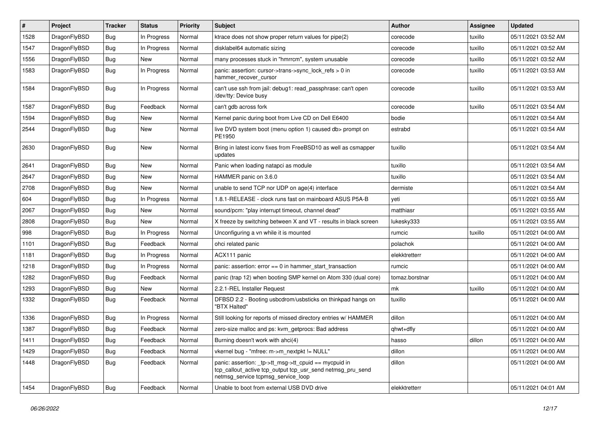| #    | Project      | <b>Tracker</b> | <b>Status</b> | <b>Priority</b> | Subject                                                                                                                                                  | Author         | Assignee | <b>Updated</b>      |
|------|--------------|----------------|---------------|-----------------|----------------------------------------------------------------------------------------------------------------------------------------------------------|----------------|----------|---------------------|
| 1528 | DragonFlyBSD | <b>Bug</b>     | In Progress   | Normal          | ktrace does not show proper return values for pipe(2)                                                                                                    | corecode       | tuxillo  | 05/11/2021 03:52 AM |
| 1547 | DragonFlyBSD | <b>Bug</b>     | In Progress   | Normal          | disklabel64 automatic sizing                                                                                                                             | corecode       | tuxillo  | 05/11/2021 03:52 AM |
| 1556 | DragonFlyBSD | <b>Bug</b>     | New           | Normal          | many processes stuck in "hmrrcm", system unusable                                                                                                        | corecode       | tuxillo  | 05/11/2021 03:52 AM |
| 1583 | DragonFlyBSD | <b>Bug</b>     | In Progress   | Normal          | panic: assertion: cursor->trans->sync_lock_refs > 0 in<br>hammer_recover_cursor                                                                          | corecode       | tuxillo  | 05/11/2021 03:53 AM |
| 1584 | DragonFlyBSD | <b>Bug</b>     | In Progress   | Normal          | can't use ssh from jail: debug1: read passphrase: can't open<br>/dev/tty: Device busy                                                                    | corecode       | tuxillo  | 05/11/2021 03:53 AM |
| 1587 | DragonFlyBSD | Bug            | Feedback      | Normal          | can't gdb across fork                                                                                                                                    | corecode       | tuxillo  | 05/11/2021 03:54 AM |
| 1594 | DragonFlyBSD | <b>Bug</b>     | New           | Normal          | Kernel panic during boot from Live CD on Dell E6400                                                                                                      | bodie          |          | 05/11/2021 03:54 AM |
| 2544 | DragonFlyBSD | <b>Bug</b>     | New           | Normal          | live DVD system boot (menu option 1) caused db> prompt on<br>PE1950                                                                                      | estrabd        |          | 05/11/2021 03:54 AM |
| 2630 | DragonFlyBSD | Bug            | New           | Normal          | Bring in latest iconv fixes from FreeBSD10 as well as csmapper<br>updates                                                                                | tuxillo        |          | 05/11/2021 03:54 AM |
| 2641 | DragonFlyBSD | <b>Bug</b>     | New           | Normal          | Panic when loading natapci as module                                                                                                                     | tuxillo        |          | 05/11/2021 03:54 AM |
| 2647 | DragonFlyBSD | <b>Bug</b>     | New           | Normal          | HAMMER panic on 3.6.0                                                                                                                                    | tuxillo        |          | 05/11/2021 03:54 AM |
| 2708 | DragonFlyBSD | <b>Bug</b>     | New           | Normal          | unable to send TCP nor UDP on age(4) interface                                                                                                           | dermiste       |          | 05/11/2021 03:54 AM |
| 604  | DragonFlyBSD | <b>Bug</b>     | In Progress   | Normal          | 1.8.1-RELEASE - clock runs fast on mainboard ASUS P5A-B                                                                                                  | yeti           |          | 05/11/2021 03:55 AM |
| 2067 | DragonFlyBSD | <b>Bug</b>     | <b>New</b>    | Normal          | sound/pcm: "play interrupt timeout, channel dead"                                                                                                        | matthiasr      |          | 05/11/2021 03:55 AM |
| 2808 | DragonFlyBSD | <b>Bug</b>     | New           | Normal          | X freeze by switching between X and VT - results in black screen                                                                                         | lukesky333     |          | 05/11/2021 03:55 AM |
| 998  | DragonFlyBSD | <b>Bug</b>     | In Progress   | Normal          | Unconfiguring a vn while it is mounted                                                                                                                   | rumcic         | tuxillo  | 05/11/2021 04:00 AM |
| 1101 | DragonFlyBSD | <b>Bug</b>     | Feedback      | Normal          | ohci related panic                                                                                                                                       | polachok       |          | 05/11/2021 04:00 AM |
| 1181 | DragonFlyBSD | <b>Bug</b>     | In Progress   | Normal          | ACX111 panic                                                                                                                                             | elekktretterr  |          | 05/11/2021 04:00 AM |
| 1218 | DragonFlyBSD | <b>Bug</b>     | In Progress   | Normal          | panic: assertion: $error == 0$ in hammer start transaction                                                                                               | rumcic         |          | 05/11/2021 04:00 AM |
| 1282 | DragonFlyBSD | <b>Bug</b>     | Feedback      | Normal          | panic (trap 12) when booting SMP kernel on Atom 330 (dual core)                                                                                          | tomaz.borstnar |          | 05/11/2021 04:00 AM |
| 1293 | DragonFlyBSD | Bug            | New           | Normal          | 2.2.1-REL Installer Request                                                                                                                              | mk             | tuxillo  | 05/11/2021 04:00 AM |
| 1332 | DragonFlyBSD | Bug            | Feedback      | Normal          | DFBSD 2.2 - Booting usbcdrom/usbsticks on thinkpad hangs on<br>"BTX Halted"                                                                              | tuxillo        |          | 05/11/2021 04:00 AM |
| 1336 | DragonFlyBSD | Bug            | In Progress   | Normal          | Still looking for reports of missed directory entries w/ HAMMER                                                                                          | dillon         |          | 05/11/2021 04:00 AM |
| 1387 | DragonFlyBSD | <b>Bug</b>     | Feedback      | Normal          | zero-size malloc and ps: kvm_getprocs: Bad address                                                                                                       | qhwt+dfly      |          | 05/11/2021 04:00 AM |
| 1411 | DragonFlyBSD | <b>Bug</b>     | Feedback      | Normal          | Burning doesn't work with ahci(4)                                                                                                                        | nasso          | dillon   | 05/11/2021 04:00 AM |
| 1429 | DragonFlyBSD | <b>Bug</b>     | Feedback      | Normal          | vkernel bug - "mfree: m->m nextpkt != NULL"                                                                                                              | dillon         |          | 05/11/2021 04:00 AM |
| 1448 | DragonFlyBSD | <b>Bug</b>     | Feedback      | Normal          | panic: assertion: tp->tt_msg->tt_cpuid == mycpuid in<br>tcp_callout_active tcp_output tcp_usr_send netmsg_pru_send<br>netmsg_service tcpmsg_service_loop | dillon         |          | 05/11/2021 04:00 AM |
| 1454 | DragonFlyBSD | <b>Bug</b>     | Feedback      | Normal          | Unable to boot from external USB DVD drive                                                                                                               | elekktretterr  |          | 05/11/2021 04:01 AM |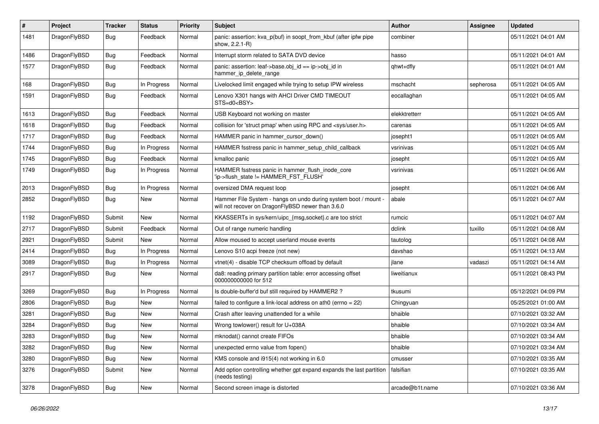| $\sharp$ | Project      | <b>Tracker</b> | <b>Status</b> | <b>Priority</b> | <b>Subject</b>                                                                                                       | <b>Author</b>   | Assignee  | <b>Updated</b>      |
|----------|--------------|----------------|---------------|-----------------|----------------------------------------------------------------------------------------------------------------------|-----------------|-----------|---------------------|
| 1481     | DragonFlyBSD | Bug            | Feedback      | Normal          | panic: assertion: kva_p(buf) in soopt_from_kbuf (after ipfw pipe<br>show, 2.2.1-R)                                   | combiner        |           | 05/11/2021 04:01 AM |
| 1486     | DragonFlyBSD | Bug            | Feedback      | Normal          | Interrupt storm related to SATA DVD device                                                                           | hasso           |           | 05/11/2021 04:01 AM |
| 1577     | DragonFlyBSD | Bug            | Feedback      | Normal          | panic: assertion: leaf->base.obj id == ip->obj id in<br>hammer_ip_delete_range                                       | qhwt+dfly       |           | 05/11/2021 04:01 AM |
| 168      | DragonFlyBSD | Bug            | In Progress   | Normal          | Livelocked limit engaged while trying to setup IPW wireless                                                          | mschacht        | sepherosa | 05/11/2021 04:05 AM |
| 1591     | DragonFlyBSD | Bug            | Feedback      | Normal          | Lenovo X301 hangs with AHCI Driver CMD TIMEOUT<br>$STS=d0<BSY>$                                                      | eocallaghan     |           | 05/11/2021 04:05 AM |
| 1613     | DragonFlyBSD | Bug            | Feedback      | Normal          | USB Keyboard not working on master                                                                                   | elekktretterr   |           | 05/11/2021 04:05 AM |
| 1618     | DragonFlyBSD | <b>Bug</b>     | Feedback      | Normal          | collision for 'struct pmap' when using RPC and <sys user.h=""></sys>                                                 | carenas         |           | 05/11/2021 04:05 AM |
| 1717     | DragonFlyBSD | <b>Bug</b>     | Feedback      | Normal          | HAMMER panic in hammer_cursor_down()                                                                                 | josepht1        |           | 05/11/2021 04:05 AM |
| 1744     | DragonFlyBSD | <b>Bug</b>     | In Progress   | Normal          | HAMMER fsstress panic in hammer_setup_child_callback                                                                 | vsrinivas       |           | 05/11/2021 04:05 AM |
| 1745     | DragonFlyBSD | Bug            | Feedback      | Normal          | kmalloc panic                                                                                                        | josepht         |           | 05/11/2021 04:05 AM |
| 1749     | DragonFlyBSD | <b>Bug</b>     | In Progress   | Normal          | HAMMER fsstress panic in hammer flush inode core<br>'ip->flush_state != HAMMER_FST_FLUSH'                            | vsrinivas       |           | 05/11/2021 04:06 AM |
| 2013     | DragonFlyBSD | Bug            | In Progress   | Normal          | oversized DMA request loop                                                                                           | josepht         |           | 05/11/2021 04:06 AM |
| 2852     | DragonFlyBSD | Bug            | New           | Normal          | Hammer File System - hangs on undo during system boot / mount -<br>will not recover on DragonFlyBSD newer than 3.6.0 | abale           |           | 05/11/2021 04:07 AM |
| 1192     | DragonFlyBSD | Submit         | New           | Normal          | KKASSERTs in sys/kern/uipc {msg,socket}.c are too strict                                                             | rumcic          |           | 05/11/2021 04:07 AM |
| 2717     | DragonFlyBSD | Submit         | Feedback      | Normal          | Out of range numeric handling                                                                                        | dclink          | tuxillo   | 05/11/2021 04:08 AM |
| 2921     | DragonFlyBSD | Submit         | <b>New</b>    | Normal          | Allow moused to accept userland mouse events                                                                         | tautolog        |           | 05/11/2021 04:08 AM |
| 2414     | DragonFlyBSD | <b>Bug</b>     | In Progress   | Normal          | Lenovo S10 acpi freeze (not new)                                                                                     | davshao         |           | 05/11/2021 04:13 AM |
| 3089     | DragonFlyBSD | <b>Bug</b>     | In Progress   | Normal          | vtnet(4) - disable TCP checksum offload by default                                                                   | jlane           | vadaszi   | 05/11/2021 04:14 AM |
| 2917     | DragonFlyBSD | <b>Bug</b>     | New           | Normal          | da8: reading primary partition table: error accessing offset<br>000000000000 for 512                                 | liweitianux     |           | 05/11/2021 08:43 PM |
| 3269     | DragonFlyBSD | Bug            | In Progress   | Normal          | Is double-buffer'd buf still required by HAMMER2 ?                                                                   | tkusumi         |           | 05/12/2021 04:09 PM |
| 2806     | DragonFlyBSD | Bug            | New           | Normal          | failed to configure a link-local address on ath0 (errno = 22)                                                        | Chingyuan       |           | 05/25/2021 01:00 AM |
| 3281     | DragonFlyBSD | <b>Bug</b>     | New           | Normal          | Crash after leaving unattended for a while                                                                           | bhaible         |           | 07/10/2021 03:32 AM |
| 3284     | DragonFlyBSD | Bug            | <b>New</b>    | Normal          | Wrong towlower() result for U+038A                                                                                   | bhaible         |           | 07/10/2021 03:34 AM |
| 3283     | DragonFlyBSD | <b>Bug</b>     | New           | Normal          | mknodat() cannot create FIFOs                                                                                        | bhaible         |           | 07/10/2021 03:34 AM |
| 3282     | DragonFlyBSD | Bug            | New           | Normal          | unexpected errno value from fopen()                                                                                  | bhaible         |           | 07/10/2021 03:34 AM |
| 3280     | DragonFlyBSD | Bug            | New           | Normal          | KMS console and i915(4) not working in 6.0                                                                           | cmusser         |           | 07/10/2021 03:35 AM |
| 3276     | DragonFlyBSD | Submit         | New           | Normal          | Add option controlling whether gpt expand expands the last partition<br>(needs testing)                              | falsifian       |           | 07/10/2021 03:35 AM |
| 3278     | DragonFlyBSD | <b>Bug</b>     | New           | Normal          | Second screen image is distorted                                                                                     | arcade@b1t.name |           | 07/10/2021 03:36 AM |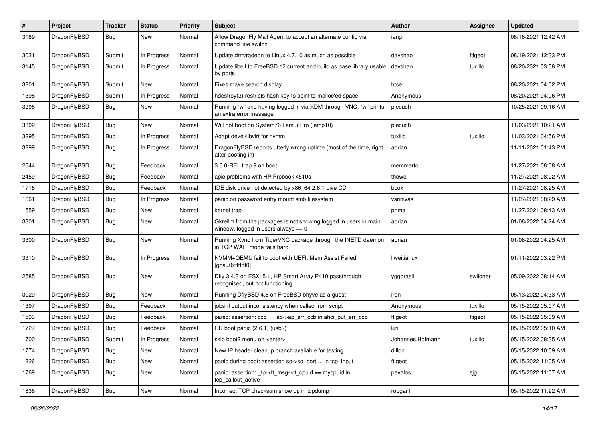| $\#$ | Project      | <b>Tracker</b> | <b>Status</b> | <b>Priority</b> | Subject                                                                                                   | <b>Author</b>    | Assignee | <b>Updated</b>      |
|------|--------------|----------------|---------------|-----------------|-----------------------------------------------------------------------------------------------------------|------------------|----------|---------------------|
| 3189 | DragonFlyBSD | Bug            | New           | Normal          | Allow DragonFly Mail Agent to accept an alternate config via<br>command line switch                       | iang             |          | 08/16/2021 12:42 AM |
| 3031 | DragonFlyBSD | Submit         | In Progress   | Normal          | Update drm/radeon to Linux 4.7.10 as much as possible                                                     | davshao          | ftigeot  | 08/19/2021 12:33 PM |
| 3145 | DragonFlyBSD | Submit         | In Progress   | Normal          | Update libelf to FreeBSD 12 current and build as base library usable<br>by ports                          | davshao          | tuxillo  | 08/20/2021 03:58 PM |
| 3201 | DragonFlyBSD | Submit         | <b>New</b>    | Normal          | Fixes make search display                                                                                 | htse             |          | 08/20/2021 04:02 PM |
| 1398 | DragonFlyBSD | Submit         | In Progress   | Normal          | hdestroy(3) restricts hash key to point to malloc'ed space                                                | Anonymous        |          | 08/20/2021 04:06 PM |
| 3298 | DragonFlyBSD | <b>Bug</b>     | New           | Normal          | Running "w" and having logged in via XDM through VNC, "w" prints<br>an extra error message                | piecuch          |          | 10/25/2021 09:16 AM |
| 3302 | DragonFlyBSD | Bug            | <b>New</b>    | Normal          | Will not boot on System76 Lemur Pro (lemp10)                                                              | piecuch          |          | 11/03/2021 10:21 AM |
| 3295 | DragonFlyBSD | <b>Bug</b>     | In Progress   | Normal          | Adapt devel/libvirt for nvmm                                                                              | tuxillo          | tuxillo  | 11/03/2021 04:56 PM |
| 3299 | DragonFlyBSD | <b>Bug</b>     | In Progress   | Normal          | DragonFlyBSD reports utterly wrong uptime (most of the time, right<br>after booting in)                   | adrian           |          | 11/11/2021 01:43 PM |
| 2644 | DragonFlyBSD | <b>Bug</b>     | Feedback      | Normal          | 3.6.0-REL trap 9 on boot                                                                                  | memmerto         |          | 11/27/2021 08:08 AM |
| 2459 | DragonFlyBSD | <b>Bug</b>     | Feedback      | Normal          | apic problems with HP Probook 4510s                                                                       | thowe            |          | 11/27/2021 08:22 AM |
| 1718 | DragonFlyBSD | <b>Bug</b>     | Feedback      | Normal          | IDE disk drive not detected by x86_64 2.6.1 Live CD                                                       | bcox             |          | 11/27/2021 08:25 AM |
| 1661 | DragonFlyBSD | <b>Bug</b>     | In Progress   | Normal          | panic on password entry mount smb filesystem                                                              | vsrinivas        |          | 11/27/2021 08:29 AM |
| 1559 | DragonFlyBSD | <b>Bug</b>     | <b>New</b>    | Normal          | kernel trap                                                                                               | phma             |          | 11/27/2021 08:43 AM |
| 3301 | DragonFlyBSD | <b>Bug</b>     | <b>New</b>    | Normal          | Gkrellm from the packages is not showing logged in users in main<br>window, logged in users always $== 0$ | adrian           |          | 01/08/2022 04:24 AM |
| 3300 | DragonFlyBSD | Bug            | <b>New</b>    | Normal          | Running Xvnc from TigerVNC package through the INETD daemon<br>in TCP WAIT mode fails hard                | adrian           |          | 01/08/2022 04:25 AM |
| 3310 | DragonFlyBSD | Bug            | In Progress   | Normal          | NVMM+QEMU fail to boot with UEFI: Mem Assist Failed<br>[gpa=0xfffffff0]                                   | liweitianux      |          | 01/11/2022 03:22 PM |
| 2585 | DragonFlyBSD | <b>Bug</b>     | <b>New</b>    | Normal          | Dfly 3.4.3 on ESXi 5.1, HP Smart Array P410 passthrough<br>recognised, but not functioning                | yggdrasil        | swildner | 05/09/2022 08:14 AM |
| 3029 | DragonFlyBSD | <b>Bug</b>     | New           | Normal          | Running DflyBSD 4.8 on FreeBSD bhyve as a guest                                                           | iron             |          | 05/13/2022 04:33 AM |
| 1397 | DragonFlyBSD | <b>Bug</b>     | Feedback      | Normal          | jobs -I output inconsistency when called from script                                                      | Anonymous        | tuxillo  | 05/15/2022 05:07 AM |
| 1593 | DragonFlyBSD | <b>Bug</b>     | Feedback      | Normal          | panic: assertion: ccb == ap->ap_err_ccb in ahci_put_err_ccb                                               | ftigeot          | ftigeot  | 05/15/2022 05:09 AM |
| 1727 | DragonFlyBSD | <b>Bug</b>     | Feedback      | Normal          | CD boot panic (2.6.1) (usb?)                                                                              | kiril            |          | 05/15/2022 05:10 AM |
| 1700 | DragonFlyBSD | Submit         | In Progress   | Normal          | skip boot2 menu on <enter></enter>                                                                        | Johannes.Hofmann | tuxillo  | 05/15/2022 08:35 AM |
| 1774 | DragonFlyBSD | Bug            | New           | Normal          | New IP header cleanup branch available for testing                                                        | dillon           |          | 05/15/2022 10:59 AM |
| 1826 | DragonFlyBSD | Bug            | New           | Normal          | panic during boot: assertion so->so port  in tcp input                                                    | ftigeot          |          | 05/15/2022 11:05 AM |
| 1769 | DragonFlyBSD | <b>Bug</b>     | New           | Normal          | panic: assertion: _tp->tt_msg->tt_cpuid == mycpuid in<br>tcp callout active                               | pavalos          | sjg      | 05/15/2022 11:07 AM |
| 1836 | DragonFlyBSD | Bug            | New           | Normal          | Incorrect TCP checksum show up in tcpdump                                                                 | robgar1          |          | 05/15/2022 11:22 AM |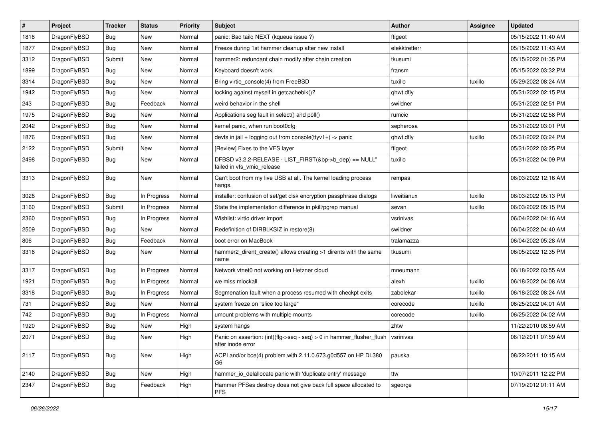| $\sharp$ | Project      | <b>Tracker</b> | <b>Status</b> | <b>Priority</b> | Subject                                                                                    | Author        | Assignee | <b>Updated</b>      |
|----------|--------------|----------------|---------------|-----------------|--------------------------------------------------------------------------------------------|---------------|----------|---------------------|
| 1818     | DragonFlyBSD | <b>Bug</b>     | <b>New</b>    | Normal          | panic: Bad tailq NEXT (kqueue issue ?)                                                     | ftigeot       |          | 05/15/2022 11:40 AM |
| 1877     | DragonFlyBSD | Bug            | New           | Normal          | Freeze during 1st hammer cleanup after new install                                         | elekktretterr |          | 05/15/2022 11:43 AM |
| 3312     | DragonFlyBSD | Submit         | New           | Normal          | hammer2: redundant chain modify after chain creation                                       | tkusumi       |          | 05/15/2022 01:35 PM |
| 1899     | DragonFlyBSD | <b>Bug</b>     | New           | Normal          | Keyboard doesn't work                                                                      | fransm        |          | 05/15/2022 03:32 PM |
| 3314     | DragonFlyBSD | Bug            | <b>New</b>    | Normal          | Bring virtio_console(4) from FreeBSD                                                       | tuxillo       | tuxillo  | 05/29/2022 08:24 AM |
| 1942     | DragonFlyBSD | <b>Bug</b>     | <b>New</b>    | Normal          | locking against myself in getcacheblk()?                                                   | qhwt.dfly     |          | 05/31/2022 02:15 PM |
| 243      | DragonFlyBSD | <b>Bug</b>     | Feedback      | Normal          | weird behavior in the shell                                                                | swildner      |          | 05/31/2022 02:51 PM |
| 1975     | DragonFlyBSD | <b>Bug</b>     | New           | Normal          | Applications seg fault in select() and poll()                                              | rumcic        |          | 05/31/2022 02:58 PM |
| 2042     | DragonFlyBSD | <b>Bug</b>     | New           | Normal          | kernel panic, when run boot0cfg                                                            | sepherosa     |          | 05/31/2022 03:01 PM |
| 1876     | DragonFlyBSD | Bug            | <b>New</b>    | Normal          | devfs in jail + logging out from console(ttyv1+) -> panic                                  | qhwt.dfly     | tuxillo  | 05/31/2022 03:24 PM |
| 2122     | DragonFlyBSD | Submit         | New           | Normal          | [Review] Fixes to the VFS layer                                                            | ftigeot       |          | 05/31/2022 03:25 PM |
| 2498     | DragonFlyBSD | <b>Bug</b>     | <b>New</b>    | Normal          | DFBSD v3.2.2-RELEASE - LIST_FIRST(&bp->b_dep) == NULL"<br>failed in vfs_vmio_release       | tuxillo       |          | 05/31/2022 04:09 PM |
| 3313     | DragonFlyBSD | Bug            | New           | Normal          | Can't boot from my live USB at all. The kernel loading process<br>hangs.                   | rempas        |          | 06/03/2022 12:16 AM |
| 3028     | DragonFlyBSD | Bug            | In Progress   | Normal          | installer: confusion of set/get disk encryption passphrase dialogs                         | liweitianux   | tuxillo  | 06/03/2022 05:13 PM |
| 3160     | DragonFlyBSD | Submit         | In Progress   | Normal          | State the implementation difference in pkill/pgrep manual                                  | sevan         | tuxillo  | 06/03/2022 05:15 PM |
| 2360     | DragonFlyBSD | Bug            | In Progress   | Normal          | Wishlist: virtio driver import                                                             | vsrinivas     |          | 06/04/2022 04:16 AM |
| 2509     | DragonFlyBSD | <b>Bug</b>     | New           | Normal          | Redefinition of DIRBLKSIZ in restore(8)                                                    | swildner      |          | 06/04/2022 04:40 AM |
| 806      | DragonFlyBSD | <b>Bug</b>     | Feedback      | Normal          | boot error on MacBook                                                                      | tralamazza    |          | 06/04/2022 05:28 AM |
| 3316     | DragonFlyBSD | Bug            | New           | Normal          | hammer2_dirent_create() allows creating >1 dirents with the same<br>name                   | tkusumi       |          | 06/05/2022 12:35 PM |
| 3317     | DragonFlyBSD | Bug            | In Progress   | Normal          | Network vtnet0 not working on Hetzner cloud                                                | mneumann      |          | 06/18/2022 03:55 AM |
| 1921     | DragonFlyBSD | <b>Bug</b>     | In Progress   | Normal          | we miss mlockall                                                                           | alexh         | tuxillo  | 06/18/2022 04:08 AM |
| 3318     | DragonFlyBSD | <b>Bug</b>     | In Progress   | Normal          | Segmenation fault when a process resumed with checkpt exits                                | zabolekar     | tuxillo  | 06/18/2022 08:24 AM |
| 731      | DragonFlyBSD | Bug            | <b>New</b>    | Normal          | system freeze on "slice too large"                                                         | corecode      | tuxillo  | 06/25/2022 04:01 AM |
| 742      | DragonFlyBSD | <b>Bug</b>     | In Progress   | Normal          | umount problems with multiple mounts                                                       | corecode      | tuxillo  | 06/25/2022 04:02 AM |
| 1920     | DragonFlyBSD | <b>Bug</b>     | New           | High            | system hangs                                                                               | zhtw          |          | 11/22/2010 08:59 AM |
| 2071     | DragonFlyBSD | i Bug          | <b>New</b>    | High            | Panic on assertion: (int)(flg->seq - seq) > 0 in hammer_flusher_flush<br>after inode error | vsrinivas     |          | 06/12/2011 07:59 AM |
| 2117     | DragonFlyBSD | <b>Bug</b>     | New           | High            | ACPI and/or bce(4) problem with 2.11.0.673.g0d557 on HP DL380<br>G6                        | pauska        |          | 08/22/2011 10:15 AM |
| 2140     | DragonFlyBSD | <b>Bug</b>     | New           | High            | hammer_io_delallocate panic with 'duplicate entry' message                                 | ttw           |          | 10/07/2011 12:22 PM |
| 2347     | DragonFlyBSD | <b>Bug</b>     | Feedback      | High            | Hammer PFSes destroy does not give back full space allocated to<br><b>PFS</b>              | sgeorge       |          | 07/19/2012 01:11 AM |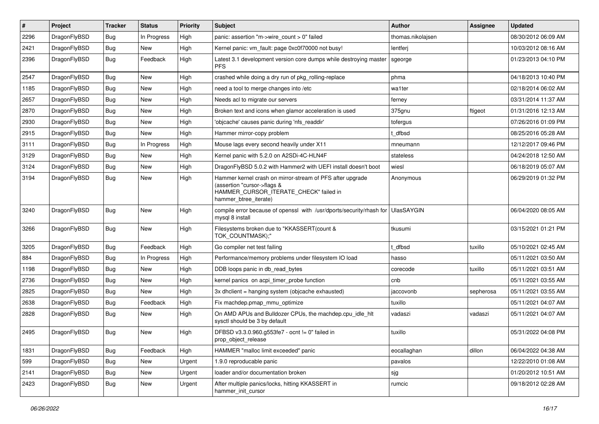| $\sharp$ | Project      | <b>Tracker</b> | <b>Status</b> | <b>Priority</b> | Subject                                                                                                                                                     | Author            | Assignee  | <b>Updated</b>      |
|----------|--------------|----------------|---------------|-----------------|-------------------------------------------------------------------------------------------------------------------------------------------------------------|-------------------|-----------|---------------------|
| 2296     | DragonFlyBSD | <b>Bug</b>     | In Progress   | High            |                                                                                                                                                             | thomas.nikolajsen |           | 08/30/2012 06:09 AM |
| 2421     | DragonFlyBSD | Bug            | New           | High            | Kernel panic: vm_fault: page 0xc0f70000 not busy!                                                                                                           | lentferj          |           | 10/03/2012 08:16 AM |
| 2396     | DragonFlyBSD | <b>Bug</b>     | Feedback      | High            | Latest 3.1 development version core dumps while destroying master<br><b>PFS</b>                                                                             | sgeorge           |           | 01/23/2013 04:10 PM |
| 2547     | DragonFlyBSD | Bug            | <b>New</b>    | High            | crashed while doing a dry run of pkg rolling-replace                                                                                                        | phma              |           | 04/18/2013 10:40 PM |
| 1185     | DragonFlyBSD | <b>Bug</b>     | New           | High            | need a tool to merge changes into /etc                                                                                                                      | wa1ter            |           | 02/18/2014 06:02 AM |
| 2657     | DragonFlyBSD | <b>Bug</b>     | New           | High            | Needs acl to migrate our servers                                                                                                                            | ferney            |           | 03/31/2014 11:37 AM |
| 2870     | DragonFlyBSD | Bug            | New           | High            | Broken text and icons when glamor acceleration is used                                                                                                      | 375gnu            | ftigeot   | 01/31/2016 12:13 AM |
| 2930     | DragonFlyBSD | <b>Bug</b>     | New           | High            | 'objcache' causes panic during 'nfs_readdir'                                                                                                                | tofergus          |           | 07/26/2016 01:09 PM |
| 2915     | DragonFlyBSD | Bug            | <b>New</b>    | High            | Hammer mirror-copy problem                                                                                                                                  | t_dfbsd           |           | 08/25/2016 05:28 AM |
| 3111     | DragonFlyBSD | Bug            | In Progress   | High            | Mouse lags every second heavily under X11                                                                                                                   | mneumann          |           | 12/12/2017 09:46 PM |
| 3129     | DragonFlyBSD | <b>Bug</b>     | New           | High            | Kernel panic with 5.2.0 on A2SDi-4C-HLN4F                                                                                                                   | stateless         |           | 04/24/2018 12:50 AM |
| 3124     | DragonFlyBSD | <b>Bug</b>     | New           | High            | DragonFlyBSD 5.0.2 with Hammer2 with UEFI install doesn't boot                                                                                              | wiesl             |           | 06/18/2019 05:07 AM |
| 3194     | DragonFlyBSD | <b>Bug</b>     | <b>New</b>    | High            | Hammer kernel crash on mirror-stream of PFS after upgrade<br>(assertion "cursor->flags &<br>HAMMER_CURSOR_ITERATE_CHECK" failed in<br>hammer_btree_iterate) | Anonymous         |           | 06/29/2019 01:32 PM |
| 3240     | DragonFlyBSD | Bug            | New           | High            | compile error because of openssl with /usr/dports/security/rhash for<br>mysql 8 install                                                                     | <b>UlasSAYGIN</b> |           | 06/04/2020 08:05 AM |
| 3266     | DragonFlyBSD | Bug            | <b>New</b>    | High            | Filesystems broken due to "KKASSERT(count &<br>TOK_COUNTMASK);"                                                                                             | tkusumi           |           | 03/15/2021 01:21 PM |
| 3205     | DragonFlyBSD | <b>Bug</b>     | Feedback      | High            | Go compiler net test failing                                                                                                                                | : dfbsd           | tuxillo   | 05/10/2021 02:45 AM |
| 884      | DragonFlyBSD | <b>Bug</b>     | In Progress   | High            | Performance/memory problems under filesystem IO load                                                                                                        | hasso             |           | 05/11/2021 03:50 AM |
| 1198     | DragonFlyBSD | <b>Bug</b>     | New           | High            | DDB loops panic in db_read_bytes                                                                                                                            | corecode          | tuxillo   | 05/11/2021 03:51 AM |
| 2736     | DragonFlyBSD | <b>Bug</b>     | <b>New</b>    | High            | kernel panics on acpi_timer_probe function                                                                                                                  | cnb               |           | 05/11/2021 03:55 AM |
| 2825     | DragonFlyBSD | <b>Bug</b>     | New           | High            | 3x dhclient = hanging system (objcache exhausted)                                                                                                           | jaccovonb         | sepherosa | 05/11/2021 03:55 AM |
| 2638     | DragonFlyBSD | Bug            | Feedback      | High            | Fix machdep.pmap mmu optimize                                                                                                                               | tuxillo           |           | 05/11/2021 04:07 AM |
| 2828     | DragonFlyBSD | Bug            | New           | High            | On AMD APUs and Bulldozer CPUs, the machdep.cpu_idle_hlt<br>sysctl should be 3 by default                                                                   | vadaszi           | vadaszi   | 05/11/2021 04:07 AM |
| 2495     | DragonFlyBSD | Bug            | New           | High            | DFBSD v3.3.0.960.g553fe7 - ocnt != 0" failed in<br>prop_object_release                                                                                      | tuxillo           |           | 05/31/2022 04:08 PM |
| 1831     | DragonFlyBSD | <b>Bug</b>     | Feedback      | High            | HAMMER "malloc limit exceeded" panic                                                                                                                        | eocallaghan       | dillon    | 06/04/2022 04:38 AM |
| 599      | DragonFlyBSD | <b>Bug</b>     | New           | Urgent          | 1.9.0 reproducable panic                                                                                                                                    | pavalos           |           | 12/22/2010 01:08 AM |
| 2141     | DragonFlyBSD | <b>Bug</b>     | New           | Urgent          | loader and/or documentation broken                                                                                                                          | sjg               |           | 01/20/2012 10:51 AM |
| 2423     | DragonFlyBSD | <b>Bug</b>     | New           | Urgent          | After multiple panics/locks, hitting KKASSERT in<br>hammer init cursor                                                                                      | rumcic            |           | 09/18/2012 02:28 AM |